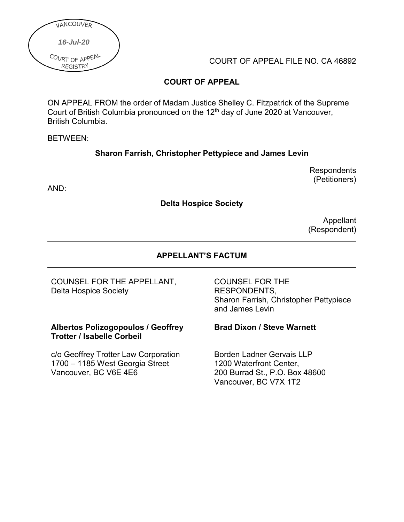

COURT OF APPEAL FILE NO. CA 46892

## **COURT OF APPEAL**

ON APPEAL FROM the order of Madam Justice Shelley C. Fitzpatrick of the Supreme Court of British Columbia pronounced on the 12<sup>th</sup> day of June 2020 at Vancouver, British Columbia.

BETWEEN:

### **Sharon Farrish, Christopher Pettypiece and James Levin**

**Respondents** (Petitioners)

AND:

**Delta Hospice Society**

Appellant (Respondent)

### **APPELLANT'S FACTUM**

COUNSEL FOR THE APPELLANT, Delta Hospice Society

**Albertos Polizogopoulos / Geoffrey Trotter / Isabelle Corbeil**

c/o Geoffrey Trotter Law Corporation 1700 – 1185 West Georgia Street Vancouver, BC V6E 4E6

COUNSEL FOR THE RESPONDENTS, Sharon Farrish, Christopher Pettypiece and James Levin

#### **Brad Dixon / Steve Warnett**

Borden Ladner Gervais LLP 1200 Waterfront Center, 200 Burrad St., P.O. Box 48600 Vancouver, BC V7X 1T2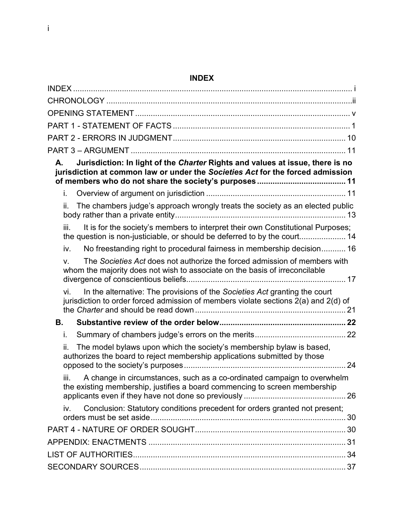# <span id="page-1-0"></span>**INDEX**

| INDEX.                                                                                                                                                                   |    |
|--------------------------------------------------------------------------------------------------------------------------------------------------------------------------|----|
|                                                                                                                                                                          |    |
|                                                                                                                                                                          |    |
|                                                                                                                                                                          |    |
|                                                                                                                                                                          |    |
|                                                                                                                                                                          |    |
| Jurisdiction: In light of the Charter Rights and values at issue, there is no<br>А.<br>jurisdiction at common law or under the Societies Act for the forced admission    |    |
| i.                                                                                                                                                                       |    |
| The chambers judge's approach wrongly treats the society as an elected public<br>ii.                                                                                     |    |
| It is for the society's members to interpret their own Constitutional Purposes;<br>iii.<br>the question is non-justiciable, or should be deferred to by the court 14     |    |
| No freestanding right to procedural fairness in membership decision 16<br>İV.                                                                                            |    |
| The Societies Act does not authorize the forced admission of members with<br>V.<br>whom the majority does not wish to associate on the basis of irreconcilable           |    |
| In the alternative: The provisions of the Societies Act granting the court<br>vi.<br>jurisdiction to order forced admission of members violate sections 2(a) and 2(d) of |    |
| В.                                                                                                                                                                       |    |
| i.                                                                                                                                                                       |    |
| The model bylaws upon which the society's membership bylaw is based,<br>authorizes the board to reject membership applications submitted by those                        | 24 |
| A change in circumstances, such as a co-ordinated campaign to overwhelm<br>iii.<br>the existing membership, justifies a board commencing to screen membership            |    |
| Conclusion: Statutory conditions precedent for orders granted not present;<br>iv.                                                                                        |    |
|                                                                                                                                                                          |    |
|                                                                                                                                                                          |    |
|                                                                                                                                                                          |    |
|                                                                                                                                                                          |    |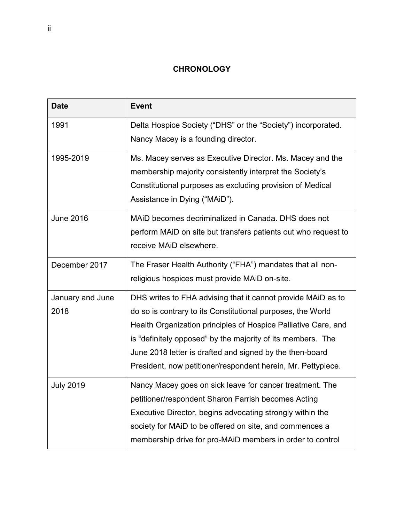## **CHRONOLOGY**

<span id="page-2-0"></span>

| <b>Date</b>      | <b>Event</b>                                                   |
|------------------|----------------------------------------------------------------|
| 1991             | Delta Hospice Society ("DHS" or the "Society") incorporated.   |
|                  | Nancy Macey is a founding director.                            |
| 1995-2019        | Ms. Macey serves as Executive Director. Ms. Macey and the      |
|                  | membership majority consistently interpret the Society's       |
|                  | Constitutional purposes as excluding provision of Medical      |
|                  | Assistance in Dying ("MAiD").                                  |
| <b>June 2016</b> | MAID becomes decriminalized in Canada. DHS does not            |
|                  | perform MAID on site but transfers patients out who request to |
|                  | receive MAID elsewhere.                                        |
| December 2017    | The Fraser Health Authority ("FHA") mandates that all non-     |
|                  | religious hospices must provide MAID on-site.                  |
| January and June | DHS writes to FHA advising that it cannot provide MAID as to   |
| 2018             | do so is contrary to its Constitutional purposes, the World    |
|                  | Health Organization principles of Hospice Palliative Care, and |
|                  | is "definitely opposed" by the majority of its members. The    |
|                  | June 2018 letter is drafted and signed by the then-board       |
|                  | President, now petitioner/respondent herein, Mr. Pettypiece.   |
| <b>July 2019</b> | Nancy Macey goes on sick leave for cancer treatment. The       |
|                  | petitioner/respondent Sharon Farrish becomes Acting            |
|                  | Executive Director, begins advocating strongly within the      |
|                  | society for MAID to be offered on site, and commences a        |
|                  | membership drive for pro-MAID members in order to control      |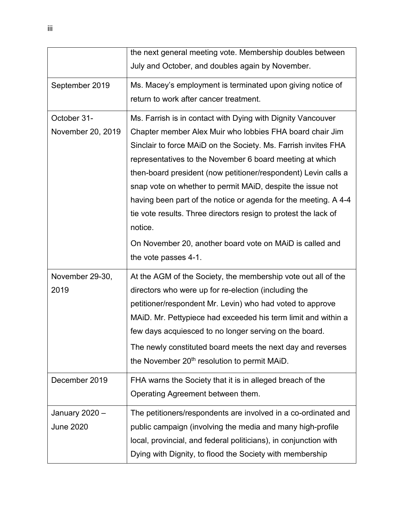|                   | the next general meeting vote. Membership doubles between        |
|-------------------|------------------------------------------------------------------|
|                   | July and October, and doubles again by November.                 |
| September 2019    | Ms. Macey's employment is terminated upon giving notice of       |
|                   | return to work after cancer treatment.                           |
| October 31-       | Ms. Farrish is in contact with Dying with Dignity Vancouver      |
| November 20, 2019 | Chapter member Alex Muir who lobbies FHA board chair Jim         |
|                   | Sinclair to force MAID on the Society. Ms. Farrish invites FHA   |
|                   | representatives to the November 6 board meeting at which         |
|                   | then-board president (now petitioner/respondent) Levin calls a   |
|                   | snap vote on whether to permit MAID, despite the issue not       |
|                   | having been part of the notice or agenda for the meeting. A 4-4  |
|                   | tie vote results. Three directors resign to protest the lack of  |
|                   | notice.                                                          |
|                   | On November 20, another board vote on MAID is called and         |
|                   | the vote passes 4-1.                                             |
| November 29-30,   | At the AGM of the Society, the membership vote out all of the    |
| 2019              | directors who were up for re-election (including the             |
|                   | petitioner/respondent Mr. Levin) who had voted to approve        |
|                   | MAID. Mr. Pettypiece had exceeded his term limit and within a    |
|                   | few days acquiesced to no longer serving on the board.           |
|                   | The newly constituted board meets the next day and reverses      |
|                   | the November 20 <sup>th</sup> resolution to permit MAiD.         |
| December 2019     | FHA warns the Society that it is in alleged breach of the        |
|                   | Operating Agreement between them.                                |
| January 2020 -    | The petitioners/respondents are involved in a co-ordinated and   |
| <b>June 2020</b>  | public campaign (involving the media and many high-profile       |
|                   | local, provincial, and federal politicians), in conjunction with |
|                   | Dying with Dignity, to flood the Society with membership         |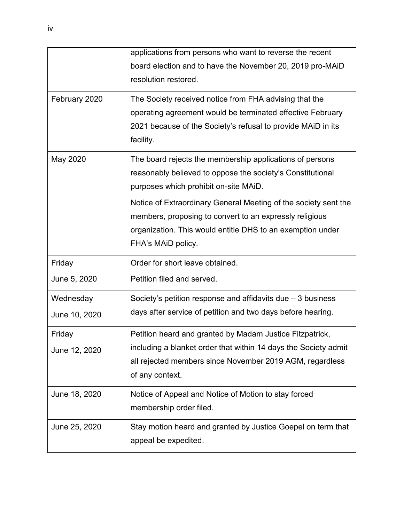|               | applications from persons who want to reverse the recent        |
|---------------|-----------------------------------------------------------------|
|               | board election and to have the November 20, 2019 pro-MAID       |
|               | resolution restored.                                            |
| February 2020 | The Society received notice from FHA advising that the          |
|               | operating agreement would be terminated effective February      |
|               | 2021 because of the Society's refusal to provide MAiD in its    |
|               | facility.                                                       |
| May 2020      | The board rejects the membership applications of persons        |
|               | reasonably believed to oppose the society's Constitutional      |
|               | purposes which prohibit on-site MAiD.                           |
|               | Notice of Extraordinary General Meeting of the society sent the |
|               | members, proposing to convert to an expressly religious         |
|               | organization. This would entitle DHS to an exemption under      |
|               | FHA's MAiD policy.                                              |
| Friday        | Order for short leave obtained.                                 |
| June 5, 2020  | Petition filed and served.                                      |
| Wednesday     | Society's petition response and affidavits due $-3$ business    |
| June 10, 2020 | days after service of petition and two days before hearing.     |
| Friday        | Petition heard and granted by Madam Justice Fitzpatrick,        |
| June 12, 2020 | including a blanket order that within 14 days the Society admit |
|               | all rejected members since November 2019 AGM, regardless        |
|               | of any context.                                                 |
| June 18, 2020 | Notice of Appeal and Notice of Motion to stay forced            |
|               | membership order filed.                                         |
| June 25, 2020 | Stay motion heard and granted by Justice Goepel on term that    |
|               | appeal be expedited.                                            |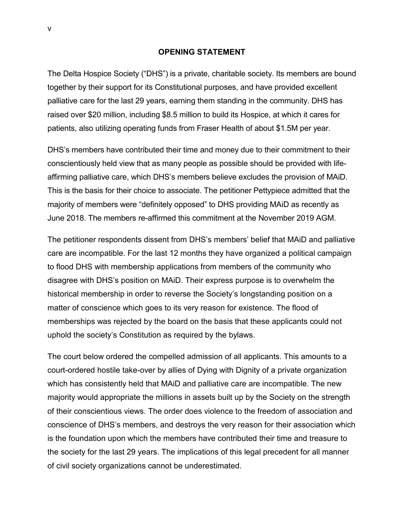#### **OPENING STATEMENT**

<span id="page-5-0"></span>The Delta Hospice Society ("DHS") is a private, charitable society. Its members are bound together by their support for its Constitutional purposes, and have provided excellent palliative care for the last 29 years, earning them standing in the community. DHS has raised over \$20 million, including \$8.5 million to build its Hospice, at which it cares for patients, also utilizing operating funds from Fraser Health of about \$1.5M per year.

DHS's members have contributed their time and money due to their commitment to their conscientiously held view that as many people as possible should be provided with lifeaffirming palliative care, which DHS's members believe excludes the provision of MAiD. This is the basis for their choice to associate. The petitioner Pettypiece admitted that the majority of members were "definitely opposed" to DHS providing MAiD as recently as June 2018. The members re-affirmed this commitment at the November 2019 AGM.

The petitioner respondents dissent from DHS's members' belief that MAiD and palliative care are incompatible. For the last 12 months they have organized a political campaign to flood DHS with membership applications from members of the community who disagree with DHS's position on MAiD. Their express purpose is to overwhelm the historical membership in order to reverse the Society's longstanding position on a matter of conscience which goes to its very reason for existence. The flood of memberships was rejected by the board on the basis that these applicants could not uphold the society's Constitution as required by the bylaws.

The court below ordered the compelled admission of all applicants. This amounts to a court-ordered hostile take-over by allies of Dying with Dignity of a private organization which has consistently held that MAiD and palliative care are incompatible. The new majority would appropriate the millions in assets built up by the Society on the strength of their conscientious views. The order does violence to the freedom of association and conscience of DHS's members, and destroys the very reason for their association which is the foundation upon which the members have contributed their time and treasure to the society for the last 29 years. The implications of this legal precedent for all manner of civil society organizations cannot be underestimated.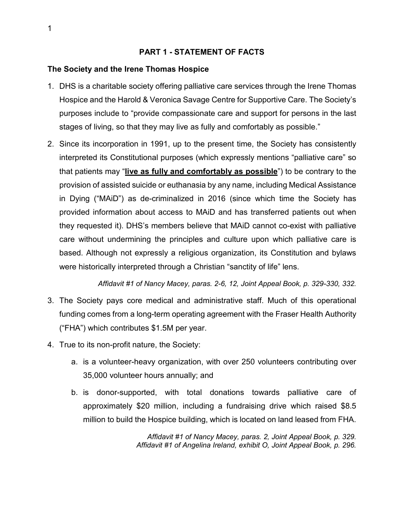#### **PART 1 - STATEMENT OF FACTS**

### <span id="page-6-0"></span>**The Society and the Irene Thomas Hospice**

- 1. DHS is a charitable society offering palliative care services through the Irene Thomas Hospice and the Harold & Veronica Savage Centre for Supportive Care. The Society's purposes include to "provide compassionate care and support for persons in the last stages of living, so that they may live as fully and comfortably as possible."
- 2. Since its incorporation in 1991, up to the present time, the Society has consistently interpreted its Constitutional purposes (which expressly mentions "palliative care" so that patients may "**live as fully and comfortably as possible**") to be contrary to the provision of assisted suicide or euthanasia by any name, including Medical Assistance in Dying ("MAiD") as de-criminalized in 2016 (since which time the Society has provided information about access to MAiD and has transferred patients out when they requested it). DHS's members believe that MAiD cannot co-exist with palliative care without undermining the principles and culture upon which palliative care is based. Although not expressly a religious organization, its Constitution and bylaws were historically interpreted through a Christian "sanctity of life" lens.

*Affidavit #1 of Nancy Macey, paras. 2-6, 12, Joint Appeal Book, p. 329-330, 332.*

- 3. The Society pays core medical and administrative staff. Much of this operational funding comes from a long-term operating agreement with the Fraser Health Authority ("FHA") which contributes \$1.5M per year.
- 4. True to its non-profit nature, the Society:
	- a. is a volunteer-heavy organization, with over 250 volunteers contributing over 35,000 volunteer hours annually; and
	- b. is donor-supported, with total donations towards palliative care of approximately \$20 million, including a fundraising drive which raised \$8.5 million to build the Hospice building, which is located on land leased from FHA.

*Affidavit #1 of Nancy Macey, paras. 2, Joint Appeal Book, p. 329. Affidavit #1 of Angelina Ireland, exhibit O, Joint Appeal Book, p. 296.*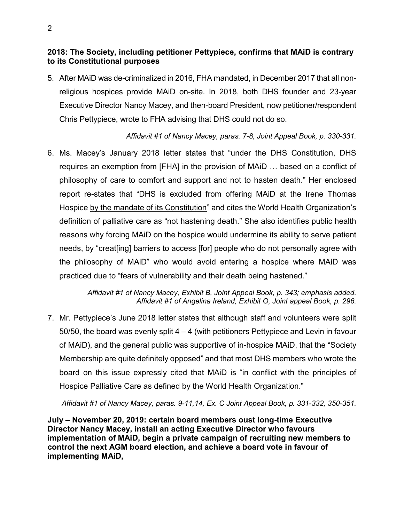### **2018: The Society, including petitioner Pettypiece, confirms that MAiD is contrary to its Constitutional purposes**

5. After MAiD was de-criminalized in 2016, FHA mandated, in December 2017 that all nonreligious hospices provide MAiD on-site. In 2018, both DHS founder and 23-year Executive Director Nancy Macey, and then-board President, now petitioner/respondent Chris Pettypiece, wrote to FHA advising that DHS could not do so.

## *Affidavit #1 of Nancy Macey, paras. 7-8, Joint Appeal Book, p. 330-331.*

6. Ms. Macey's January 2018 letter states that "under the DHS Constitution, DHS requires an exemption from [FHA] in the provision of MAiD … based on a conflict of philosophy of care to comfort and support and not to hasten death." Her enclosed report re-states that "DHS is excluded from offering MAiD at the Irene Thomas Hospice by the mandate of its Constitution" and cites the World Health Organization's definition of palliative care as "not hastening death." She also identifies public health reasons why forcing MAiD on the hospice would undermine its ability to serve patient needs, by "creat[ing] barriers to access [for] people who do not personally agree with the philosophy of MAiD" who would avoid entering a hospice where MAiD was practiced due to "fears of vulnerability and their death being hastened."

> *Affidavit #1 of Nancy Macey, Exhibit B, Joint Appeal Book, p. 343; emphasis added. Affidavit #1 of Angelina Ireland, Exhibit O, Joint appeal Book, p. 296.*

7. Mr. Pettypiece's June 2018 letter states that although staff and volunteers were split 50/50, the board was evenly split  $4 - 4$  (with petitioners Pettypiece and Levin in favour of MAiD), and the general public was supportive of in-hospice MAiD, that the "Society Membership are quite definitely opposed" and that most DHS members who wrote the board on this issue expressly cited that MAiD is "in conflict with the principles of Hospice Palliative Care as defined by the World Health Organization."

*Affidavit #1 of Nancy Macey, paras. 9-11,14, Ex. C Joint Appeal Book, p. 331-332, 350-351.*

**July – November 20, 2019: certain board members oust long-time Executive Director Nancy Macey, install an acting Executive Director who favours implementation of MAiD, begin a private campaign of recruiting new members to control the next AGM board election, and achieve a board vote in favour of implementing MAiD,**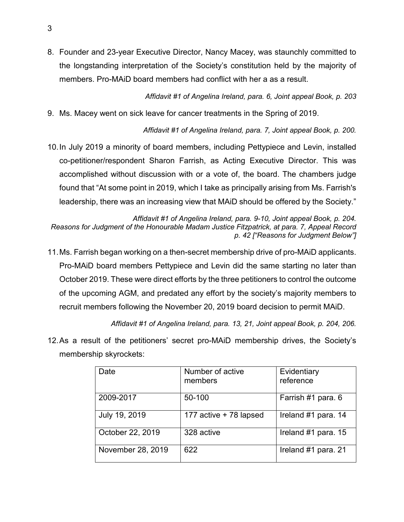8. Founder and 23-year Executive Director, Nancy Macey, was staunchly committed to the longstanding interpretation of the Society's constitution held by the majority of members. Pro-MAiD board members had conflict with her a as a result.

*Affidavit #1 of Angelina Ireland, para. 6, Joint appeal Book, p. 203*

9. Ms. Macey went on sick leave for cancer treatments in the Spring of 2019.

*Affidavit #1 of Angelina Ireland, para. 7, Joint appeal Book, p. 200.*

10.In July 2019 a minority of board members, including Pettypiece and Levin, installed co-petitioner/respondent Sharon Farrish, as Acting Executive Director. This was accomplished without discussion with or a vote of, the board. The chambers judge found that "At some point in 2019, which I take as principally arising from Ms. Farrish's leadership, there was an increasing view that MAiD should be offered by the Society."

*Affidavit #1 of Angelina Ireland, para. 9-10, Joint appeal Book, p. 204. Reasons for Judgment of the Honourable Madam Justice Fitzpatrick, at para. 7, Appeal Record p. 42 ["Reasons for Judgment Below"]*

11.Ms. Farrish began working on a then-secret membership drive of pro-MAiD applicants. Pro-MAiD board members Pettypiece and Levin did the same starting no later than October 2019. These were direct efforts by the three petitioners to control the outcome of the upcoming AGM, and predated any effort by the society's majority members to recruit members following the November 20, 2019 board decision to permit MAiD.

*Affidavit #1 of Angelina Ireland, para. 13, 21, Joint appeal Book, p. 204, 206.*

12.As a result of the petitioners' secret pro-MAiD membership drives, the Society's membership skyrockets:

| Date              | Number of active<br>members | Evidentiary<br>reference |
|-------------------|-----------------------------|--------------------------|
| 2009-2017         | 50-100                      | Farrish #1 para. 6       |
| July 19, 2019     | 177 active + 78 lapsed      | Ireland #1 para. 14      |
| October 22, 2019  | 328 active                  | Ireland #1 para. 15      |
| November 28, 2019 | 622                         | Ireland #1 para. 21      |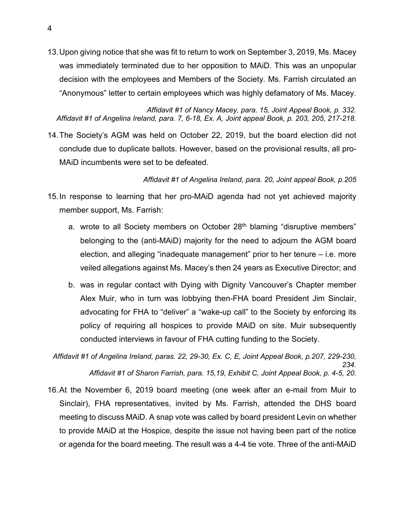13.Upon giving notice that she was fit to return to work on September 3, 2019, Ms. Macey was immediately terminated due to her opposition to MAiD. This was an unpopular decision with the employees and Members of the Society. Ms. Farrish circulated an "Anonymous" letter to certain employees which was highly defamatory of Ms. Macey.

*Affidavit #1 of Nancy Macey, para. 15, Joint Appeal Book, p. 332. Affidavit #1 of Angelina Ireland, para. 7, 6-18, Ex. A, Joint appeal Book, p. 203, 205, 217-218.*

14.The Society's AGM was held on October 22, 2019, but the board election did not conclude due to duplicate ballots. However, based on the provisional results, all pro-MAiD incumbents were set to be defeated.

*Affidavit #1 of Angelina Ireland, para. 20, Joint appeal Book, p.205*

- 15.In response to learning that her pro-MAiD agenda had not yet achieved majority member support, Ms. Farrish:
	- a. wrote to all Society members on October 28<sup>th</sup> blaming "disruptive members" belonging to the (anti-MAiD) majority for the need to adjourn the AGM board election, and alleging "inadequate management" prior to her tenure – i.e. more veiled allegations against Ms. Macey's then 24 years as Executive Director; and
	- b. was in regular contact with Dying with Dignity Vancouver's Chapter member Alex Muir, who in turn was lobbying then-FHA board President Jim Sinclair, advocating for FHA to "deliver" a "wake-up call" to the Society by enforcing its policy of requiring all hospices to provide MAiD on site. Muir subsequently conducted interviews in favour of FHA cutting funding to the Society.

*Affidavit #1 of Angelina Ireland, paras. 22, 29-30, Ex. C, E, Joint Appeal Book, p.207, 229-230, 234. Affidavit #1 of Sharon Farrish, para. 15,19, Exhibit C, Joint Appeal Book, p. 4-5, 20.*

16.At the November 6, 2019 board meeting (one week after an e-mail from Muir to Sinclair), FHA representatives, invited by Ms. Farrish, attended the DHS board meeting to discuss MAiD. A snap vote was called by board president Levin on whether to provide MAiD at the Hospice, despite the issue not having been part of the notice or agenda for the board meeting. The result was a 4-4 tie vote. Three of the anti-MAiD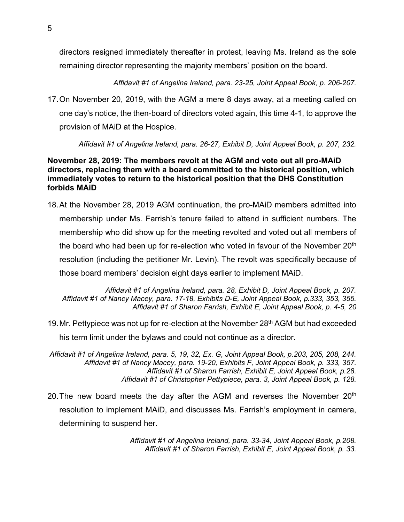directors resigned immediately thereafter in protest, leaving Ms. Ireland as the sole remaining director representing the majority members' position on the board.

*Affidavit #1 of Angelina Ireland, para. 23-25, Joint Appeal Book, p. 206-207.*

17.On November 20, 2019, with the AGM a mere 8 days away, at a meeting called on one day's notice, the then-board of directors voted again, this time 4-1, to approve the provision of MAiD at the Hospice.

*Affidavit #1 of Angelina Ireland, para. 26-27, Exhibit D, Joint Appeal Book, p. 207, 232.*

### **November 28, 2019: The members revolt at the AGM and vote out all pro-MAiD directors, replacing them with a board committed to the historical position, which immediately votes to return to the historical position that the DHS Constitution forbids MAiD**

18.At the November 28, 2019 AGM continuation, the pro-MAiD members admitted into membership under Ms. Farrish's tenure failed to attend in sufficient numbers. The membership who did show up for the meeting revolted and voted out all members of the board who had been up for re-election who voted in favour of the November 20<sup>th</sup> resolution (including the petitioner Mr. Levin). The revolt was specifically because of those board members' decision eight days earlier to implement MAiD.

*Affidavit #1 of Angelina Ireland, para. 28, Exhibit D, Joint Appeal Book, p. 207. Affidavit #1 of Nancy Macey, para. 17-18, Exhibits D-E, Joint Appeal Book, p.333, 353, 355. Affidavit #1 of Sharon Farrish, Exhibit E, Joint Appeal Book, p. 4-5, 20*

- 19. Mr. Pettypiece was not up for re-election at the November 28<sup>th</sup> AGM but had exceeded his term limit under the bylaws and could not continue as a director.
- *Affidavit #1 of Angelina Ireland, para. 5, 19, 32, Ex. G, Joint Appeal Book, p.203, 205, 208, 244. Affidavit #1 of Nancy Macey, para. 19-20, Exhibits F, Joint Appeal Book, p. 333, 357. Affidavit #1 of Sharon Farrish, Exhibit E, Joint Appeal Book, p.28. Affidavit #1 of Christopher Pettypiece, para. 3, Joint Appeal Book, p. 128.*
- 20. The new board meets the day after the AGM and reverses the November  $20<sup>th</sup>$ resolution to implement MAiD, and discusses Ms. Farrish's employment in camera, determining to suspend her.

*Affidavit #1 of Angelina Ireland, para. 33-34, Joint Appeal Book, p.208. Affidavit #1 of Sharon Farrish, Exhibit E, Joint Appeal Book, p. 33.*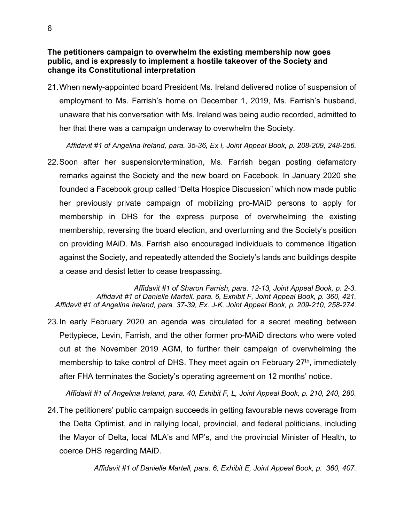**The petitioners campaign to overwhelm the existing membership now goes public, and is expressly to implement a hostile takeover of the Society and change its Constitutional interpretation**

21.When newly-appointed board President Ms. Ireland delivered notice of suspension of employment to Ms. Farrish's home on December 1, 2019, Ms. Farrish's husband, unaware that his conversation with Ms. Ireland was being audio recorded, admitted to her that there was a campaign underway to overwhelm the Society.

*Affidavit #1 of Angelina Ireland, para. 35-36, Ex I, Joint Appeal Book, p. 208-209, 248-256.*

22.Soon after her suspension/termination, Ms. Farrish began posting defamatory remarks against the Society and the new board on Facebook. In January 2020 she founded a Facebook group called "Delta Hospice Discussion" which now made public her previously private campaign of mobilizing pro-MAiD persons to apply for membership in DHS for the express purpose of overwhelming the existing membership, reversing the board election, and overturning and the Society's position on providing MAiD. Ms. Farrish also encouraged individuals to commence litigation against the Society, and repeatedly attended the Society's lands and buildings despite a cease and desist letter to cease trespassing.

*Affidavit #1 of Sharon Farrish, para. 12-13, Joint Appeal Book, p. 2-3. Affidavit #1 of Danielle Martell, para. 6, Exhibit F, Joint Appeal Book, p. 360, 421. Affidavit #1 of Angelina Ireland, para. 37-39, Ex. J-K, Joint Appeal Book, p. 209-210, 258-274.*

23.In early February 2020 an agenda was circulated for a secret meeting between Pettypiece, Levin, Farrish, and the other former pro-MAiD directors who were voted out at the November 2019 AGM, to further their campaign of overwhelming the membership to take control of DHS. They meet again on February 27<sup>th</sup>, immediately after FHA terminates the Society's operating agreement on 12 months' notice.

*Affidavit #1 of Angelina Ireland, para. 40, Exhibit F, L, Joint Appeal Book, p. 210, 240, 280.* 

24.The petitioners' public campaign succeeds in getting favourable news coverage from the Delta Optimist, and in rallying local, provincial, and federal politicians, including the Mayor of Delta, local MLA's and MP's, and the provincial Minister of Health, to coerce DHS regarding MAiD.

*Affidavit #1 of Danielle Martell, para. 6, Exhibit E, Joint Appeal Book, p. 360, 407.*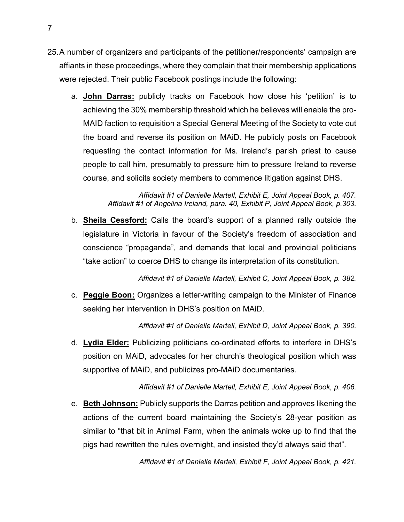- <span id="page-12-0"></span>25.A number of organizers and participants of the petitioner/respondents' campaign are affiants in these proceedings, where they complain that their membership applications were rejected. Their public Facebook postings include the following:
	- a. **John Darras:** publicly tracks on Facebook how close his 'petition' is to achieving the 30% membership threshold which he believes will enable the pro-MAID faction to requisition a Special General Meeting of the Society to vote out the board and reverse its position on MAiD. He publicly posts on Facebook requesting the contact information for Ms. Ireland's parish priest to cause people to call him, presumably to pressure him to pressure Ireland to reverse course, and solicits society members to commence litigation against DHS.

*Affidavit #1 of Danielle Martell, Exhibit E, Joint Appeal Book, p. 407. Affidavit #1 of Angelina Ireland, para. 40, Exhibit P, Joint Appeal Book, p.303.*

b. **Sheila Cessford:** Calls the board's support of a planned rally outside the legislature in Victoria in favour of the Society's freedom of association and conscience "propaganda", and demands that local and provincial politicians "take action" to coerce DHS to change its interpretation of its constitution.

*Affidavit #1 of Danielle Martell, Exhibit C, Joint Appeal Book, p. 382.*

c. **Peggie Boon:** Organizes a letter-writing campaign to the Minister of Finance seeking her intervention in DHS's position on MAiD.

*Affidavit #1 of Danielle Martell, Exhibit D, Joint Appeal Book, p. 390.*

d. **Lydia Elder:** Publicizing politicians co-ordinated efforts to interfere in DHS's position on MAiD, advocates for her church's theological position which was supportive of MAiD, and publicizes pro-MAiD documentaries.

*Affidavit #1 of Danielle Martell, Exhibit E, Joint Appeal Book, p. 406.*

e. **Beth Johnson:** Publicly supports the Darras petition and approves likening the actions of the current board maintaining the Society's 28-year position as similar to "that bit in Animal Farm, when the animals woke up to find that the pigs had rewritten the rules overnight, and insisted they'd always said that".

*Affidavit #1 of Danielle Martell, Exhibit F, Joint Appeal Book, p. 421.*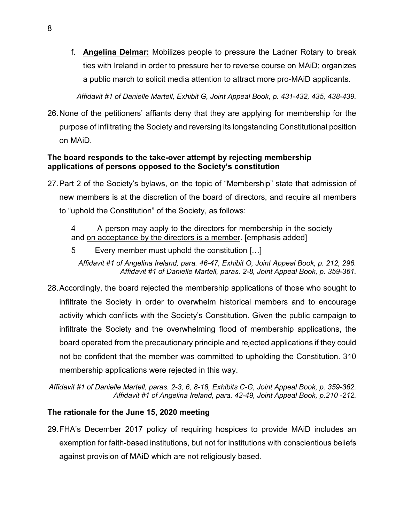f. **Angelina Delmar:** Mobilizes people to pressure the Ladner Rotary to break ties with Ireland in order to pressure her to reverse course on MAiD; organizes a public march to solicit media attention to attract more pro-MAiD applicants.

*Affidavit #1 of Danielle Martell, Exhibit G, Joint Appeal Book, p. 431-432, 435, 438-439.*

26.None of the petitioners' affiants deny that they are applying for membership for the purpose of infiltrating the Society and reversing its longstanding Constitutional position on MAiD.

### **The board responds to the take-over attempt by rejecting membership applications of persons opposed to the Society's constitution**

- 27.Part 2 of the Society's bylaws, on the topic of "Membership" state that admission of new members is at the discretion of the board of directors, and require all members to "uphold the Constitution" of the Society, as follows:
	- 4 A person may apply to the directors for membership in the society and on acceptance by the directors is a member. [emphasis added]
	- 5 Every member must uphold the constitution […]

*Affidavit #1 of Angelina Ireland, para. 46-47, Exhibit O, Joint Appeal Book, p. 212, 296. Affidavit #1 of Danielle Martell, paras. 2-8, Joint Appeal Book, p. 359-361.*

- 28.Accordingly, the board rejected the membership applications of those who sought to infiltrate the Society in order to overwhelm historical members and to encourage activity which conflicts with the Society's Constitution. Given the public campaign to infiltrate the Society and the overwhelming flood of membership applications, the board operated from the precautionary principle and rejected applications if they could not be confident that the member was committed to upholding the Constitution. 310 membership applications were rejected in this way.
- *Affidavit #1 of Danielle Martell, paras. 2-3, 6, 8-18, Exhibits C-G, Joint Appeal Book, p. 359-362. Affidavit #1 of Angelina Ireland, para. 42-49, Joint Appeal Book, p.210 -212.*

## **The rationale for the June 15, 2020 meeting**

29.FHA's December 2017 policy of requiring hospices to provide MAiD includes an exemption for faith-based institutions, but not for institutions with conscientious beliefs against provision of MAiD which are not religiously based.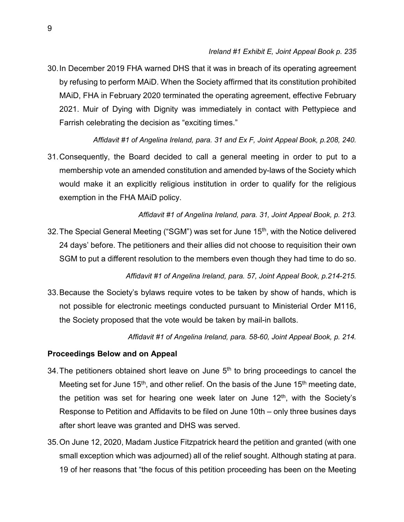30.In December 2019 FHA warned DHS that it was in breach of its operating agreement by refusing to perform MAiD. When the Society affirmed that its constitution prohibited MAiD, FHA in February 2020 terminated the operating agreement, effective February 2021. Muir of Dying with Dignity was immediately in contact with Pettypiece and Farrish celebrating the decision as "exciting times."

*Affidavit #1 of Angelina Ireland, para. 31 and Ex F, Joint Appeal Book, p.208, 240.*

31.Consequently, the Board decided to call a general meeting in order to put to a membership vote an amended constitution and amended by-laws of the Society which would make it an explicitly religious institution in order to qualify for the religious exemption in the FHA MAiD policy.

*Affidavit #1 of Angelina Ireland, para. 31, Joint Appeal Book, p. 213.*

32. The Special General Meeting ("SGM") was set for June 15<sup>th</sup>, with the Notice delivered 24 days' before. The petitioners and their allies did not choose to requisition their own SGM to put a different resolution to the members even though they had time to do so.

*Affidavit #1 of Angelina Ireland, para. 57, Joint Appeal Book, p.214-215.*

33.Because the Society's bylaws require votes to be taken by show of hands, which is not possible for electronic meetings conducted pursuant to Ministerial Order M116, the Society proposed that the vote would be taken by mail-in ballots.

*Affidavit #1 of Angelina Ireland, para. 58-60, Joint Appeal Book, p. 214.*

### **Proceedings Below and on Appeal**

- 34. The petitioners obtained short leave on June  $5<sup>th</sup>$  to bring proceedings to cancel the Meeting set for June 15<sup>th</sup>, and other relief. On the basis of the June 15<sup>th</sup> meeting date, the petition was set for hearing one week later on June  $12<sup>th</sup>$ , with the Society's Response to Petition and Affidavits to be filed on June 10th – only three busines days after short leave was granted and DHS was served.
- 35.On June 12, 2020, Madam Justice Fitzpatrick heard the petition and granted (with one small exception which was adjourned) all of the relief sought. Although stating at para. 19 of her reasons that "the focus of this petition proceeding has been on the Meeting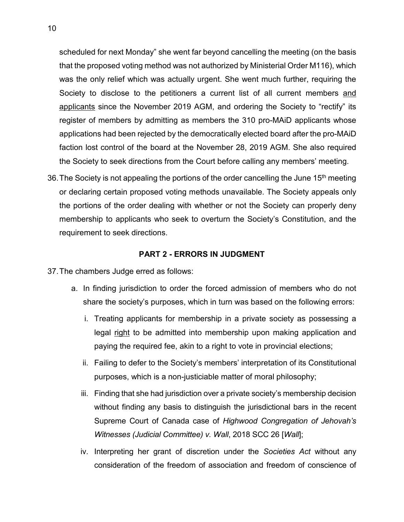scheduled for next Monday" she went far beyond cancelling the meeting (on the basis that the proposed voting method was not authorized by Ministerial Order M116), which was the only relief which was actually urgent. She went much further, requiring the Society to disclose to the petitioners a current list of all current members and applicants since the November 2019 AGM, and ordering the Society to "rectify" its register of members by admitting as members the 310 pro-MAiD applicants whose applications had been rejected by the democratically elected board after the pro-MAiD faction lost control of the board at the November 28, 2019 AGM. She also required the Society to seek directions from the Court before calling any members' meeting.

36. The Society is not appealing the portions of the order cancelling the June  $15<sup>th</sup>$  meeting or declaring certain proposed voting methods unavailable. The Society appeals only the portions of the order dealing with whether or not the Society can properly deny membership to applicants who seek to overturn the Society's Constitution, and the requirement to seek directions.

#### **PART 2 - ERRORS IN JUDGMENT**

- <span id="page-15-0"></span>37.The chambers Judge erred as follows:
	- a. In finding jurisdiction to order the forced admission of members who do not share the society's purposes, which in turn was based on the following errors:
		- i. Treating applicants for membership in a private society as possessing a legal right to be admitted into membership upon making application and paying the required fee, akin to a right to vote in provincial elections;
		- ii. Failing to defer to the Society's members' interpretation of its Constitutional purposes, which is a non-justiciable matter of moral philosophy;
		- iii. Finding that she had jurisdiction over a private society's membership decision without finding any basis to distinguish the jurisdictional bars in the recent Supreme Court of Canada case of *Highwood Congregation of Jehovah's Witnesses (Judicial Committee) v. Wall*, 2018 SCC 26 [*Wall*];
		- iv. Interpreting her grant of discretion under the *Societies Act* without any consideration of the freedom of association and freedom of conscience of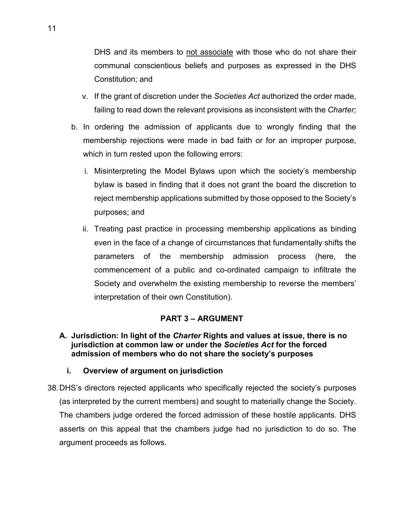DHS and its members to not associate with those who do not share their communal conscientious beliefs and purposes as expressed in the DHS Constitution; and

- v. If the grant of discretion under the *Societies Act* authorized the order made, failing to read down the relevant provisions as inconsistent with the *Charter;*
- b. In ordering the admission of applicants due to wrongly finding that the membership rejections were made in bad faith or for an improper purpose, which in turn rested upon the following errors:
	- i. Misinterpreting the Model Bylaws upon which the society's membership bylaw is based in finding that it does not grant the board the discretion to reject membership applications submitted by those opposed to the Society's purposes; and
	- ii. Treating past practice in processing membership applications as binding even in the face of a change of circumstances that fundamentally shifts the parameters of the membership admission process (here, the commencement of a public and co-ordinated campaign to infiltrate the Society and overwhelm the existing membership to reverse the members' interpretation of their own Constitution).

## **PART 3 – ARGUMENT**

<span id="page-16-1"></span><span id="page-16-0"></span>**A. Jurisdiction: In light of the** *Charter* **Rights and values at issue, there is no jurisdiction at common law or under the** *Societies Act* **for the forced admission of members who do not share the society's purposes**

### **i. Overview of argument on jurisdiction**

<span id="page-16-2"></span>38.DHS's directors rejected applicants who specifically rejected the society's purposes (as interpreted by the current members) and sought to materially change the Society. The chambers judge ordered the forced admission of these hostile applicants. DHS asserts on this appeal that the chambers judge had no jurisdiction to do so. The argument proceeds as follows.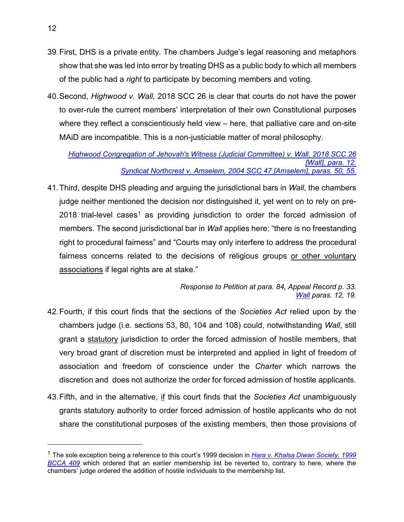- 39.First, DHS is a private entity. The chambers Judge's legal reasoning and metaphors show that she was led into error by treating DHS as a public body to which all members of the public had a *right* to participate by becoming members and voting.
- 40.Second, *Highwood v. Wall,* 2018 SCC 26 is clear that courts do not have the power to over-rule the current members' interpretation of their own Constitutional purposes where they reflect a conscientiously held view – here, that palliative care and on-site MAiD are incompatible. This is a non-justiciable matter of moral philosophy.

*[Highwood Congregation of Jehovah's Witness \(Judicial Committee\) v. Wall, 2018 SCC 26](https://www.canlii.org/en/ca/scc/doc/2018/2018scc26/2018scc26.html?searchUrlHash=AAAAAQAPd2FsbCB2LiBqZWhvdmFoAAAAAAE&resultIndex=1)  [\[Wall\], para. 12.](https://www.canlii.org/en/ca/scc/doc/2018/2018scc26/2018scc26.html?searchUrlHash=AAAAAQAPd2FsbCB2LiBqZWhvdmFoAAAAAAE&resultIndex=1) [Syndicat Northcrest v. Amselem, 2004 SCC 47 \[Amselem\], paras. 50, 55.](https://www.canlii.org/en/ca/scc/doc/2004/2004scc47/2004scc47.html?autocompleteStr=2004%20SCC%2047%20&autocompletePos=1)*

41.Third, despite DHS pleading and arguing the jurisdictional bars in *Wall*, the chambers judge neither mentioned the decision nor distinguished it, yet went on to rely on pre-20[1](#page-17-0)8 trial-level cases<sup>1</sup> as providing jurisdiction to order the forced admission of members. The second jurisdictional bar in *Wall* applies here: "there is no freestanding right to procedural fairness" and "Courts may only interfere to address the procedural fairness concerns related to the decisions of religious groups or other voluntary associations if legal rights are at stake."

> *Response to Petition at para. 84, Appeal Record p. 33. [Wall](https://www.canlii.org/en/ca/scc/doc/2018/2018scc26/2018scc26.html?searchUrlHash=AAAAAQAPd2FsbCB2LiBqZWhvdmFoAAAAAAE&resultIndex=1) paras. 12, 19.*

- 42.Fourth, if this court finds that the sections of the *Societies Act* relied upon by the chambers judge (i.e. sections 53, 80, 104 and 108) could, notwithstanding *Wall*, still grant a statutory jurisdiction to order the forced admission of hostile members, that very broad grant of discretion must be interpreted and applied in light of freedom of association and freedom of conscience under the *Charter* which narrows the discretion and does not authorize the order for forced admission of hostile applicants.
- 43.Fifth, and in the alternative, if this court finds that the *Societies Act* unambiguously grants statutory authority to order forced admission of hostile applicants who do not share the constitutional purposes of the existing members, then those provisions of

 $\overline{a}$ 

<span id="page-17-0"></span><sup>1</sup> The sole exception being a reference to this court's 1999 decision in *[Hara v. Khalsa Diwan Society, 1999](https://www.canlii.org/en/bc/bcca/doc/1999/1999bcca409/1999bcca409.html?autocompleteStr=hara%20v.%20kh&autocompletePos=1)  [BCCA 409](https://www.canlii.org/en/bc/bcca/doc/1999/1999bcca409/1999bcca409.html?autocompleteStr=hara%20v.%20kh&autocompletePos=1)* which ordered that an earlier membership list be reverted to, contrary to here, where the chambers' judge ordered the addition of hostile individuals to the membership list.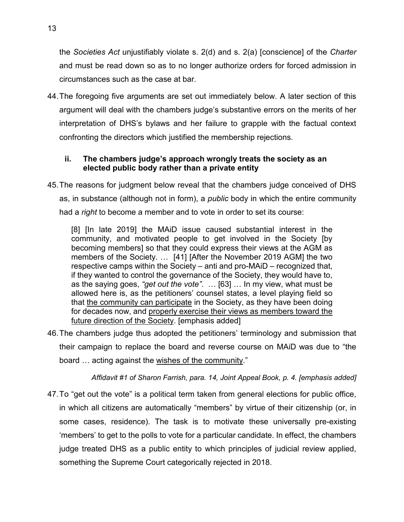the *Societies Act* unjustifiably violate s. 2(d) and s. 2(a) [conscience] of the *Charter* and must be read down so as to no longer authorize orders for forced admission in circumstances such as the case at bar.

44.The foregoing five arguments are set out immediately below. A later section of this argument will deal with the chambers judge's substantive errors on the merits of her interpretation of DHS's bylaws and her failure to grapple with the factual context confronting the directors which justified the membership rejections.

### <span id="page-18-0"></span>**ii. The chambers judge's approach wrongly treats the society as an elected public body rather than a private entity**

45.The reasons for judgment below reveal that the chambers judge conceived of DHS as, in substance (although not in form), a *public* body in which the entire community had a *right* to become a member and to vote in order to set its course:

[8] [In late 2019] the MAiD issue caused substantial interest in the community, and motivated people to get involved in the Society [by becoming members] so that they could express their views at the AGM as members of the Society. … [41] [After the November 2019 AGM] the two respective camps within the Society – anti and pro-MAiD – recognized that, if they wanted to control the governance of the Society, they would have to, as the saying goes, *"get out the vote"*. … [63] … In my view, what must be allowed here is, as the petitioners' counsel states, a level playing field so that the community can participate in the Society, as they have been doing for decades now, and properly exercise their views as members toward the future direction of the Society. [emphasis added]

46.The chambers judge thus adopted the petitioners' terminology and submission that their campaign to replace the board and reverse course on MAiD was due to "the board … acting against the wishes of the community."

*Affidavit #1 of Sharon Farrish, para. 14, Joint Appeal Book, p. 4. [emphasis added]*

47.To "get out the vote" is a political term taken from general elections for public office, in which all citizens are automatically "members" by virtue of their citizenship (or, in some cases, residence). The task is to motivate these universally pre-existing 'members' to get to the polls to vote for a particular candidate. In effect, the chambers judge treated DHS as a public entity to which principles of judicial review applied, something the Supreme Court categorically rejected in 2018.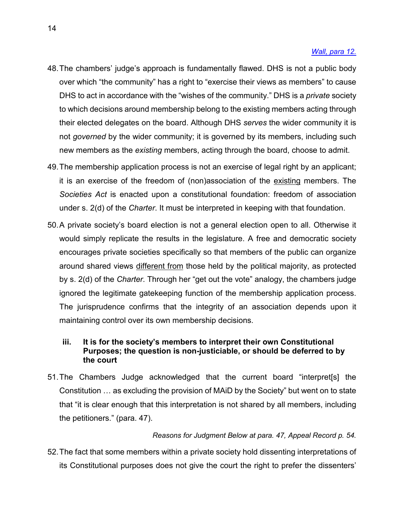#### *[Wall, para 12.](https://www.canlii.org/en/ca/scc/doc/2018/2018scc26/2018scc26.html?searchUrlHash=AAAAAQAPd2FsbCB2LiBqZWhvdmFoAAAAAAE&resultIndex=1)*

- 48.The chambers' judge's approach is fundamentally flawed. DHS is not a public body over which "the community" has a right to "exercise their views as members" to cause DHS to act in accordance with the "wishes of the community." DHS is a *private* society to which decisions around membership belong to the existing members acting through their elected delegates on the board. Although DHS *serves* the wider community it is not *governed* by the wider community; it is governed by its members, including such new members as the *existing* members, acting through the board, choose to admit.
- 49.The membership application process is not an exercise of legal right by an applicant; it is an exercise of the freedom of (non)association of the existing members. The *Societies Act* is enacted upon a constitutional foundation: freedom of association under s. 2(d) of the *Charter*. It must be interpreted in keeping with that foundation.
- 50.A private society's board election is not a general election open to all. Otherwise it would simply replicate the results in the legislature. A free and democratic society encourages private societies specifically so that members of the public can organize around shared views different from those held by the political majority, as protected by s. 2(d) of the *Charter*. Through her "get out the vote" analogy, the chambers judge ignored the legitimate gatekeeping function of the membership application process. The jurisprudence confirms that the integrity of an association depends upon it maintaining control over its own membership decisions.

### <span id="page-19-0"></span>**iii. It is for the society's members to interpret their own Constitutional Purposes; the question is non-justiciable, or should be deferred to by the court**

51.The Chambers Judge acknowledged that the current board "interpret[s] the Constitution … as excluding the provision of MAiD by the Society" but went on to state that "it is clear enough that this interpretation is not shared by all members, including the petitioners." (para. 47).

#### *Reasons for Judgment Below at para. 47, Appeal Record p. 54.*

52.The fact that some members within a private society hold dissenting interpretations of its Constitutional purposes does not give the court the right to prefer the dissenters'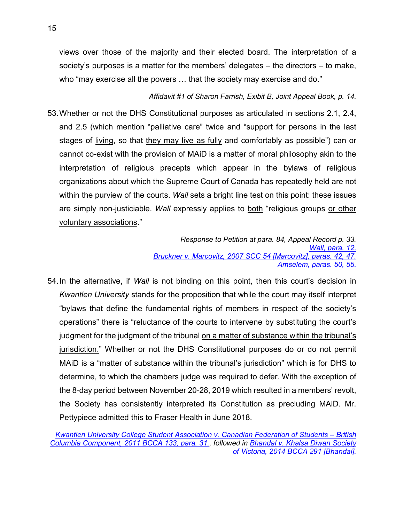views over those of the majority and their elected board. The interpretation of a society's purposes is a matter for the members' delegates – the directors – to make, who "may exercise all the powers … that the society may exercise and do."

### *Affidavit #1 of Sharon Farrish, Exibit B, Joint Appeal Book, p. 14.*

53.Whether or not the DHS Constitutional purposes as articulated in sections 2.1, 2.4, and 2.5 (which mention "palliative care" twice and "support for persons in the last stages of living, so that they may live as fully and comfortably as possible") can or cannot co-exist with the provision of MAiD is a matter of moral philosophy akin to the interpretation of religious precepts which appear in the bylaws of religious organizations about which the Supreme Court of Canada has repeatedly held are not within the purview of the courts. *Wall* sets a bright line test on this point: these issues are simply non-justiciable. *Wall* expressly applies to both "religious groups or other voluntary associations."

> *Response to Petition at para. 84, Appeal Record p. 33. [Wall, para. 12.](https://www.canlii.org/en/ca/scc/doc/2018/2018scc26/2018scc26.html?searchUrlHash=AAAAAQAPd2FsbCB2LiBqZWhvdmFoAAAAAAE&resultIndex=1#related)* **Bruckner v. Marcovitz, 2007 SCC 54 [Marcovitz], paras. 42.** *[Amselem, paras. 50, 55.](https://www.canlii.org/en/ca/scc/doc/2004/2004scc47/2004scc47.html?autocompleteStr=2004%20SCC%2047%20&autocompletePos=1)*

54.In the alternative, if *Wall* is not binding on this point, then this court's decision in *Kwantlen University* stands for the proposition that while the court may itself interpret "bylaws that define the fundamental rights of members in respect of the society's operations" there is "reluctance of the courts to intervene by substituting the court's judgment for the judgment of the tribunal on a matter of substance within the tribunal's jurisdiction." Whether or not the DHS Constitutional purposes do or do not permit MAiD is a "matter of substance within the tribunal's jurisdiction" which is for DHS to determine, to which the chambers judge was required to defer. With the exception of the 8-day period between November 20-28, 2019 which resulted in a members' revolt, the Society has consistently interpreted its Constitution as precluding MAiD. Mr. Pettypiece admitted this to Fraser Health in June 2018.

*[Kwantlen University College Student Association v. Canadian Federation of Students –](https://www.canlii.org/en/bc/bcca/doc/2011/2011bcca133/2011bcca133.html?autocompleteStr=Kwantlen%20University%20College%20Student%20Association%20v.%20Canadian%20Federation%20of%20Students%20%E2%80%93%20British%20Columbia%20Component%2C%202011%20BCCA%20133%20&autocompletePos=1) British [Columbia Component, 2011 BCCA 133, para. 31.,](https://www.canlii.org/en/bc/bcca/doc/2011/2011bcca133/2011bcca133.html?autocompleteStr=Kwantlen%20University%20College%20Student%20Association%20v.%20Canadian%20Federation%20of%20Students%20%E2%80%93%20British%20Columbia%20Component%2C%202011%20BCCA%20133%20&autocompletePos=1) followed in [Bhandal v. Khalsa Diwan Society](https://www.canlii.org/en/bc/bcca/doc/2014/2014bcca291/2014bcca291.html?autocompleteStr=Bhandal%20v.%20Khalsa%20Diwan%20Society%20of%20Victoria%2C%202014%20BCCA%20291.&autocompletePos=1)  [of Victoria, 2014 BCCA 291 \[Bhandal\].](https://www.canlii.org/en/bc/bcca/doc/2014/2014bcca291/2014bcca291.html?autocompleteStr=Bhandal%20v.%20Khalsa%20Diwan%20Society%20of%20Victoria%2C%202014%20BCCA%20291.&autocompletePos=1)*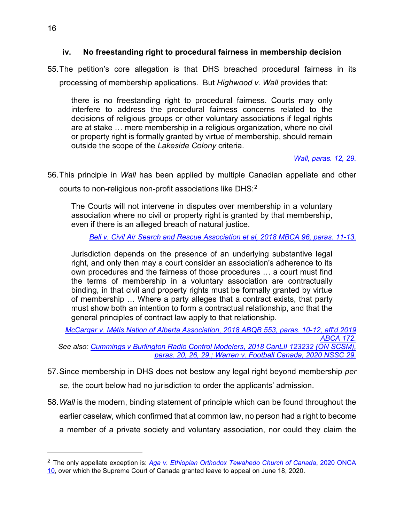### <span id="page-21-0"></span>**iv. No freestanding right to procedural fairness in membership decision**

55.The petition's core allegation is that DHS breached procedural fairness in its processing of membership applications. But *Highwood v. Wall* provides that:

there is no freestanding right to procedural fairness. Courts may only interfere to address the procedural fairness concerns related to the decisions of religious groups or other voluntary associations if legal rights are at stake … mere membership in a religious organization, where no civil or property right is formally granted by virtue of membership, should remain outside the scope of the *Lakeside Colony* criteria.

### *[Wall, paras. 12, 29.](https://www.canlii.org/en/ca/scc/doc/2018/2018scc26/2018scc26.html?autocompleteStr=Highwood&autocompletePos=1)*

56.This principle in *Wall* has been applied by multiple Canadian appellate and other courts to non-religious non-profit associations like DHS:<sup>[2](#page-21-1)</sup>

The Courts will not intervene in disputes over membership in a voluntary association where no civil or property right is granted by that membership, even if there is an alleged breach of natural justice.

*[Bell v. Civil Air Search and Rescue Association et al, 2018 MBCA 96, paras. 11-13.](https://www.canlii.org/en/mb/mbca/doc/2018/2018mbca96/2018mbca96.html?autocompleteStr=Bell%20v.%20Civil%20Air%20Search%20and%20Rescue%20Association%20et%20al%2C%20%202018%20MBCA%2096&autocompletePos=1)*

Jurisdiction depends on the presence of an underlying substantive legal right, and only then may a court consider an association's adherence to its own procedures and the fairness of those procedures … a court must find the terms of membership in a voluntary association are contractually binding, in that civil and property rights must be formally granted by virtue of membership … Where a party alleges that a contract exists, that party must show both an intention to form a contractual relationship, and that the general principles of contract law apply to that relationship.

*[McCargar v. Métis Nation of Alberta Association, 2018 ABQB 553, paras. 10-12, aff'd 2019](https://www.canlii.org/en/ab/abqb/doc/2018/2018abqb553/2018abqb553.html?autocompleteStr=2018%20ABQB%20553%20&autocompletePos=1)*  ABCA *See also: [Cummings v Burlington Radio Control Modelers, 2018 CanLII 123232 \(ON SCSM\),](https://www.canlii.org/en/on/onscsm/doc/2018/2018canlii123232/2018canlii123232.html?autocompleteStr=2018%20CanLII%20123232%20&autocompletePos=1)* 

- *[paras. 20, 26, 29.;](https://www.canlii.org/en/on/onscsm/doc/2018/2018canlii123232/2018canlii123232.html?autocompleteStr=2018%20CanLII%20123232%20&autocompletePos=1) [Warren v. Football Canada, 2020 NSSC 29.](https://www.canlii.org/en/ns/nssc/doc/2020/2020nssc29/2020nssc29.html?autocompleteStr=2020%20NSSC%2029&autocompletePos=1)*
- 57.Since membership in DHS does not bestow any legal right beyond membership *per se*, the court below had no jurisdiction to order the applicants' admission.
- 58.*Wall* is the modern, binding statement of principle which can be found throughout the earlier caselaw, which confirmed that at common law, no person had a right to become a member of a private society and voluntary association, nor could they claim the

 $\overline{a}$ 

<span id="page-21-1"></span><sup>2</sup> The only appellate exception is: *[Aga v. Ethiopian Orthodox Tewahedo Church of Canada](https://www.ontariocourts.ca/decisions/2020/2020ONCA0010.pdf)*, 2020 ONCA [10,](https://www.ontariocourts.ca/decisions/2020/2020ONCA0010.pdf) over which the Supreme Court of Canada granted leave to appeal on June 18, 2020.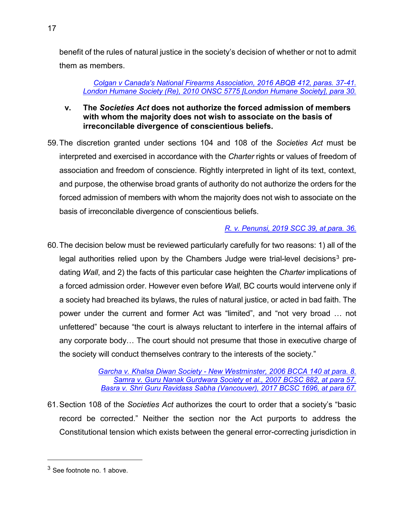benefit of the rules of natural justice in the society's decision of whether or not to admit them as members.

### *[Colgan v Canada's National Firearms Association, 2016 ABQB 412, paras. 37-41.](https://www.canlii.org/en/ab/abqb/doc/2016/2016abqb412/2016abqb412.html?autocompleteStr=2016%20ABQB%20412&autocompletePos=1) [London Humane Society \(Re\), 2010 ONSC 5775 \[London Humane Society\], para 30.](https://www.canlii.org/en/on/onsc/doc/2010/2010onsc5775/2010onsc5775.html?autocompleteStr=2010%20ONSC%205775%20&autocompletePos=1)*

- <span id="page-22-0"></span>**v. The** *Societies Act* **does not authorize the forced admission of members with whom the majority does not wish to associate on the basis of irreconcilable divergence of conscientious beliefs.**
- 59.The discretion granted under sections 104 and 108 of the *Societies Act* must be interpreted and exercised in accordance with the *Charter* rights or values of freedom of association and freedom of conscience. Rightly interpreted in light of its text, context, and purpose, the otherwise broad grants of authority do not authorize the orders for the forced admission of members with whom the majority does not wish to associate on the basis of irreconcilable divergence of conscientious beliefs.

# *[R. v. Penunsi, 2019 SCC 39, at para. 36.](https://www.canlii.org/en/ca/scc/doc/2019/2019scc39/2019scc39.html?autocompleteStr=R.%20v.%20Penunsi%2C%202019%20SCC%2039&autocompletePos=1)*

60.The decision below must be reviewed particularly carefully for two reasons: 1) all of the legal authorities relied upon by the Chambers Judge were trial-level decisions<sup>[3](#page-22-1)</sup> predating *Wall*, and 2) the facts of this particular case heighten the *Charter* implications of a forced admission order. However even before *Wall,* BC courts would intervene only if a society had breached its bylaws, the rules of natural justice, or acted in bad faith. The power under the current and former Act was "limited", and "not very broad … not unfettered" because "the court is always reluctant to interfere in the internal affairs of any corporate body… The court should not presume that those in executive charge of the society will conduct themselves contrary to the interests of the society."

> *Garcha v. Khalsa Diwan Society - [New Westminster, 2006 BCCA 140 at para. 8.](https://www.canlii.org/en/bc/bcca/doc/2006/2006bcca140/2006bcca140.html?autocompleteStr=garcha&autocompletePos=1) Samra v. [Guru Nanak Gurdwara Society et al., 2007 BCSC 882, at para 57.](https://www.canlii.org/en/bc/bcsc/doc/2007/2007bcsc882/2007bcsc882.html?autocompleteStr=samra%20&autocompletePos=5) Basra v. [Shri Guru Ravidass Sabha \(Vancouver\), 2017 BCSC 1696, at para 67.](https://www.canlii.org/en/bc/bcsc/doc/2017/2017bcsc1696/2017bcsc1696.html?autocompleteStr=basra%20v.%20sh&autocompletePos=1)*

61.Section 108 of the *Societies Act* authorizes the court to order that a society's "basic record be corrected." Neither the section nor the Act purports to address the Constitutional tension which exists between the general error-correcting jurisdiction in

 $\overline{a}$ 

<sup>17</sup>

<span id="page-22-1"></span><sup>3</sup> See footnote no. 1 above.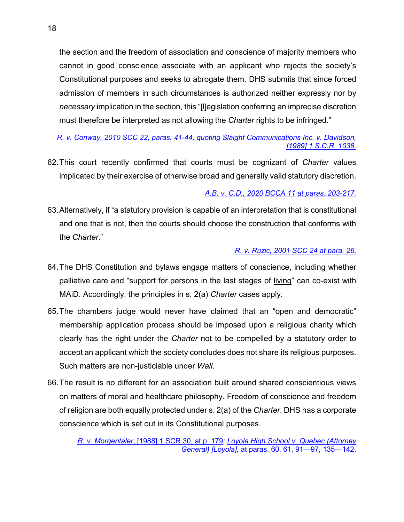the section and the freedom of association and conscience of majority members who cannot in good conscience associate with an applicant who rejects the society's Constitutional purposes and seeks to abrogate them. DHS submits that since forced admission of members in such circumstances is authorized neither expressly nor by *necessary* implication in the section, this "[l]egislation conferring an imprecise discretion must therefore be interpreted as not allowing the *Charter* rights to be infringed."

### *[R. v. Conway, 2010 SCC 22, paras. 41-44, quoting Slaight Communications Inc. v. Davidson,](https://www.canlii.org/en/ca/scc/doc/2010/2010scc22/2010scc22.html?autocompleteStr=R.%20v.%20Conway%2C%202010%20SCC%2022&autocompletePos=1)  [\[1989\] 1 S.C.R. 1038.](https://www.canlii.org/en/ca/scc/doc/2010/2010scc22/2010scc22.html?autocompleteStr=R.%20v.%20Conway%2C%202010%20SCC%2022&autocompletePos=1)*

62.This court recently confirmed that courts must be cognizant of *Charter* values implicated by their exercise of otherwise broad and generally valid statutory discretion.

## *[A.B. v. C.D., 2020 BCCA 11 at paras. 203-217.](https://www.canlii.org/en/bc/bcca/doc/2020/2020bcca11/2020bcca11.html?autocompleteStr=%20A.B.%20v.%20C.D.%2C%202020%20BCCA%2011&autocompletePos=2)*

63.Alternatively, if "a statutory provision is capable of an interpretation that is constitutional and one that is not, then the courts should choose the construction that conforms with the *Charter*."

## *[R. v. Ruzic, 2001 SCC 24 at para. 26.](https://www.canlii.org/en/ca/scc/doc/2001/2001scc24/2001scc24.html?autocompleteStr=2001%20SCC%2024&autocompletePos=1)*

- 64.The DHS Constitution and bylaws engage matters of conscience, including whether palliative care and "support for persons in the last stages of living" can co-exist with MAiD. Accordingly, the principles in s. 2(a) *Charter* cases apply.
- 65.The chambers judge would never have claimed that an "open and democratic" membership application process should be imposed upon a religious charity which clearly has the right under the *Charter* not to be compelled by a statutory order to accept an applicant which the society concludes does not share its religious purposes. Such matters are non-justiciable under *Wall*.
- 66.The result is no different for an association built around shared conscientious views on matters of moral and healthcare philosophy. Freedom of conscience and freedom of religion are both equally protected under s. 2(a) of the *Charter*. DHS has a corporate conscience which is set out in its Constitutional purposes.

*R. v. Morgentaler*[, \[1988\] 1 SCR 30, at p. 179](https://scc-csc.lexum.com/scc-csc/scc-csc/en/item/288/index.do)*; [Loyola High School v. Quebec \(Attorney](https://scc-csc.lexum.com/scc-csc/scc-csc/en/item/14703/index.do)  General) [Loyola],* [at paras. 60, 61, 91—97, 135—142.](https://scc-csc.lexum.com/scc-csc/scc-csc/en/item/14703/index.do)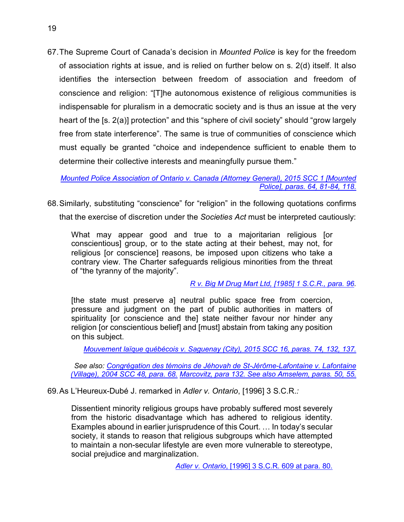67.The Supreme Court of Canada's decision in *Mounted Police* is key for the freedom of association rights at issue, and is relied on further below on s. 2(d) itself. It also identifies the intersection between freedom of association and freedom of conscience and religion: "[T]he autonomous existence of religious communities is indispensable for pluralism in a democratic society and is thus an issue at the very heart of the [s. 2(a)] protection" and this "sphere of civil society" should "grow largely free from state interference". The same is true of communities of conscience which must equally be granted "choice and independence sufficient to enable them to determine their collective interests and meaningfully pursue them."

*[Mounted Police Association of Ontario v. Canada \(Attorney General\), 2015 SCC 1 \[Mounted](https://www.canlii.org/en/ca/scc/doc/2015/2015scc1/2015scc1.html?autocompleteStr=2015%20SCC%201&autocompletePos=1)  [Police\], paras. 64, 81-84, 118.](https://www.canlii.org/en/ca/scc/doc/2015/2015scc1/2015scc1.html?autocompleteStr=2015%20SCC%201&autocompletePos=1)*

68.Similarly, substituting "conscience" for "religion" in the following quotations confirms that the exercise of discretion under the *Societies Act* must be interpreted cautiously:

What may appear good and true to a majoritarian religious [or conscientious] group, or to the state acting at their behest, may not, for religious [or conscience] reasons, be imposed upon citizens who take a contrary view. The Charter safeguards religious minorities from the threat of "the tyranny of the majority".

*R v. [Big M Drug Mart Ltd, \[1985\] 1 S.C.R., para. 96.](https://www.canlii.org/en/ca/scc/doc/1985/1985canlii69/1985canlii69.html?autocompleteStr=R%20v%20Big%20M%20Drug%20Mart%20Ltd&autocompletePos=1)*

[the state must preserve a] neutral public space free from coercion, pressure and judgment on the part of public authorities in matters of spirituality [or conscience and the] state neither favour nor hinder any religion [or conscientious belief] and [must] abstain from taking any position on this subject.

*[Mouvement laïque québécois v. Saguenay \(City\), 2015 SCC 16, paras. 74, 132, 137.](https://www.canlii.org/en/ca/scc/doc/2015/2015scc16/2015scc16.html?autocompleteStr=2015%20SCC%2016%20&autocompletePos=1)*

*See also: [Congrégation des témoins de Jéhovah de St-Jérôme-Lafontaine v. Lafontaine](https://www.canlii.org/en/ca/scc/doc/2004/2004scc48/2004scc48.html?autocompleteStr=2004%20SCC%2048%20&autocompletePos=1)  [\(Village\), 2004 SCC 48, para. 68.](https://www.canlii.org/en/ca/scc/doc/2004/2004scc48/2004scc48.html?autocompleteStr=2004%20SCC%2048%20&autocompletePos=1) [Marcovitz, para 132.](https://www.canlii.org/en/ca/scc/doc/2007/2007scc54/2007scc54.html?autocompleteStr=2007%20SCC%2054&autocompletePos=1) [See also Amselem, paras. 50, 55.](https://www.canlii.org/en/ca/scc/doc/2004/2004scc47/2004scc47.html?autocompleteStr=2004%20SCC%2047%20&autocompletePos=1)*

69.As L'Heureux-Dubé J. remarked in *Adler v. Ontario*, [1996] 3 S.C.R.*:*

Dissentient minority religious groups have probably suffered most severely from the historic disadvantage which has adhered to religious identity. Examples abound in earlier jurisprudence of this Court. … In today's secular society, it stands to reason that religious subgroups which have attempted to maintain a non-secular lifestyle are even more vulnerable to stereotype, social prejudice and marginalization.

*Adler v. Ontario*[, \[1996\] 3 S.C.R. 609 at para. 80.](https://www.canlii.org/en/ca/scc/doc/1996/1996canlii148/1996canlii148.html?autocompleteStr=Adler%20v.%20Ontario%2C%20%5B1996%5D%203%20S.C.R.%20609&autocompletePos=1)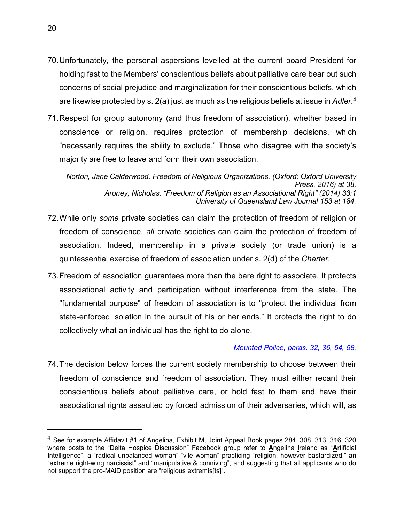- 70.Unfortunately, the personal aspersions levelled at the current board President for holding fast to the Members' conscientious beliefs about palliative care bear out such concerns of social prejudice and marginalization for their conscientious beliefs, which are likewise protected by s. 2(a) just as much as the religious beliefs at issue in *Adler*. [4](#page-25-0)
- 71.Respect for group autonomy (and thus freedom of association), whether based in conscience or religion, requires protection of membership decisions, which "necessarily requires the ability to exclude." Those who disagree with the society's majority are free to leave and form their own association.

*Norton, Jane Calderwood, Freedom of Religious Organizations, (Oxford: Oxford University Press, 2016) at 38. Aroney, Nicholas, "Freedom of Religion as an Associational Right" (2014) 33:1 University of Queensland Law Journal 153 at 184.*

- 72.While only *some* private societies can claim the protection of freedom of religion or freedom of conscience, *all* private societies can claim the protection of freedom of association. Indeed, membership in a private society (or trade union) is a quintessential exercise of freedom of association under s. 2(d) of the *Charter*.
- 73.Freedom of association guarantees more than the bare right to associate. It protects associational activity and participation without interference from the state. The "fundamental purpose" of freedom of association is to "protect the individual from state-enforced isolation in the pursuit of his or her ends." It protects the right to do collectively what an individual has the right to do alone.

### *[Mounted Police, paras. 32, 36, 54, 58.](https://www.canlii.org/en/ca/scc/doc/2015/2015scc1/2015scc1.html?autocompleteStr=2015%20SCC%201&autocompletePos=1)*

74.The decision below forces the current society membership to choose between their freedom of conscience and freedom of association. They must either recant their conscientious beliefs about palliative care, or hold fast to them and have their associational rights assaulted by forced admission of their adversaries, which will, as

 $\overline{a}$ 

<span id="page-25-0"></span><sup>4</sup> See for example Affidavit #1 of Angelina, Exhibit M, Joint Appeal Book pages 284, 308, 313, 316, 320 where posts to the "Delta Hospice Discussion" Facebook group refer to **A**ngelina **I**reland as "**A**rtificial Intelligence", a "radical unbalanced woman" "vile woman" practicing "religion, however bastardized," an "extreme right-wing narcissist" and "manipulative & conniving", and suggesting that all applicants who do not support the pro-MAiD position are "religious extremis[ts]".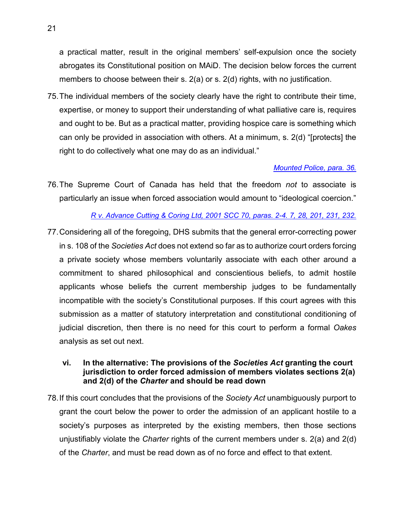a practical matter, result in the original members' self-expulsion once the society abrogates its Constitutional position on MAiD. The decision below forces the current members to choose between their s. 2(a) or s. 2(d) rights, with no justification.

75.The individual members of the society clearly have the right to contribute their time, expertise, or money to support their understanding of what palliative care is, requires and ought to be. But as a practical matter, providing hospice care is something which can only be provided in association with others. At a minimum, s. 2(d) "[protects] the right to do collectively what one may do as an individual."

#### *[Mounted Police, para. 36.](https://www.canlii.org/en/ca/scc/doc/2015/2015scc1/2015scc1.html?autocompleteStr=2015%20SCC%201&autocompletePos=1)*

76.The Supreme Court of Canada has held that the freedom *not* to associate is particularly an issue when forced association would amount to "ideological coercion."

#### *R v. [Advance Cutting & Coring Ltd, 2001 SCC 70, paras. 2-4. 7, 28, 201, 231, 232.](https://www.canlii.org/en/ca/scc/doc/2001/2001scc70/2001scc70.html?autocompleteStr=2001%20SCC%2070%20&autocompletePos=1)*

77.Considering all of the foregoing, DHS submits that the general error-correcting power in s. 108 of the *Societies Act* does not extend so far as to authorize court orders forcing a private society whose members voluntarily associate with each other around a commitment to shared philosophical and conscientious beliefs, to admit hostile applicants whose beliefs the current membership judges to be fundamentally incompatible with the society's Constitutional purposes. If this court agrees with this submission as a matter of statutory interpretation and constitutional conditioning of judicial discretion, then there is no need for this court to perform a formal *Oakes* analysis as set out next.

#### <span id="page-26-0"></span>**vi. In the alternative: The provisions of the** *Societies Act* **granting the court jurisdiction to order forced admission of members violates sections 2(a) and 2(d) of the** *Charter* **and should be read down**

78.If this court concludes that the provisions of the *Society Act* unambiguously purport to grant the court below the power to order the admission of an applicant hostile to a society's purposes as interpreted by the existing members, then those sections unjustifiably violate the *Charter* rights of the current members under s. 2(a) and 2(d) of the *Charter*, and must be read down as of no force and effect to that extent.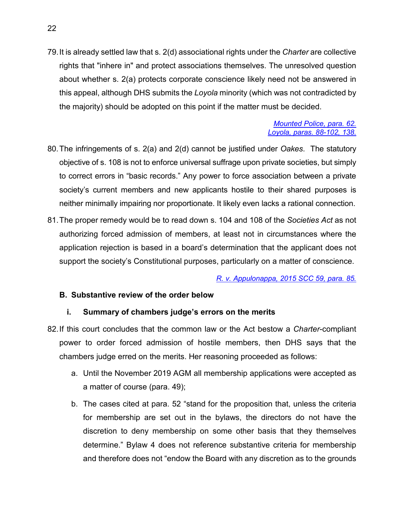79.It is already settled law that s. 2(d) associational rights under the *Charter* are collective rights that "inhere in" and protect associations themselves. The unresolved question about whether s. 2(a) protects corporate conscience likely need not be answered in this appeal, although DHS submits the *Loyola* minority (which was not contradicted by the majority) should be adopted on this point if the matter must be decided.

#### *[Mounted Police, para. 62.](https://www.canlii.org/en/ca/scc/doc/2015/2015scc1/2015scc1.html?autocompleteStr=2015%20SCC%201&autocompletePos=1) [Loyola, paras. 88-102, 138.](https://scc-csc.lexum.com/scc-csc/scc-csc/en/item/14703/index.do)*

- 80.The infringements of s. 2(a) and 2(d) cannot be justified under *Oakes*. The statutory objective of s. 108 is not to enforce universal suffrage upon private societies, but simply to correct errors in "basic records." Any power to force association between a private society's current members and new applicants hostile to their shared purposes is neither minimally impairing nor proportionate. It likely even lacks a rational connection.
- 81.The proper remedy would be to read down s. 104 and 108 of the *Societies Act* as not authorizing forced admission of members, at least not in circumstances where the application rejection is based in a board's determination that the applicant does not support the society's Constitutional purposes, particularly on a matter of conscience.

*[R. v. Appulonappa, 2015 SCC 59, para. 85.](https://www.canlii.org/en/ca/scc/doc/2015/2015scc59/2015scc59.html?autocompleteStr=2015%20SCC%2059%20&autocompletePos=1)*

## <span id="page-27-0"></span>**B. Substantive review of the order below**

### **i. Summary of chambers judge's errors on the merits**

- <span id="page-27-1"></span>82.If this court concludes that the common law or the Act bestow a *Charter*-compliant power to order forced admission of hostile members, then DHS says that the chambers judge erred on the merits. Her reasoning proceeded as follows:
	- a. Until the November 2019 AGM all membership applications were accepted as a matter of course (para. 49);
	- b. The cases cited at para. 52 "stand for the proposition that, unless the criteria for membership are set out in the bylaws, the directors do not have the discretion to deny membership on some other basis that they themselves determine." Bylaw 4 does not reference substantive criteria for membership and therefore does not "endow the Board with any discretion as to the grounds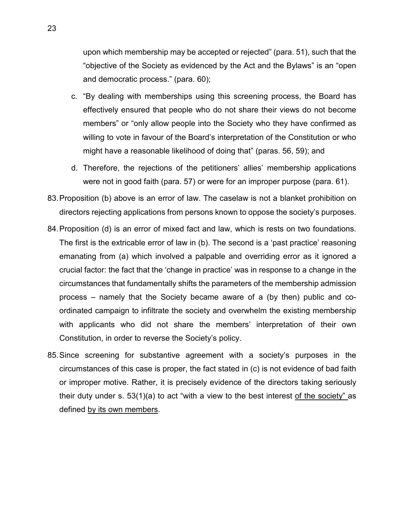upon which membership may be accepted or rejected" (para. 51), such that the "objective of the Society as evidenced by the Act and the Bylaws" is an "open and democratic process." (para. 60);

- c. "By dealing with memberships using this screening process, the Board has effectively ensured that people who do not share their views do not become members" or "only allow people into the Society who they have confirmed as willing to vote in favour of the Board's interpretation of the Constitution or who might have a reasonable likelihood of doing that" (paras. 56, 59); and
- d. Therefore, the rejections of the petitioners' allies' membership applications were not in good faith (para. 57) or were for an improper purpose (para. 61).
- 83.Proposition (b) above is an error of law. The caselaw is not a blanket prohibition on directors rejecting applications from persons known to oppose the society's purposes.
- 84.Proposition (d) is an error of mixed fact and law, which is rests on two foundations. The first is the extricable error of law in (b). The second is a 'past practice' reasoning emanating from (a) which involved a palpable and overriding error as it ignored a crucial factor: the fact that the 'change in practice' was in response to a change in the circumstances that fundamentally shifts the parameters of the membership admission process – namely that the Society became aware of a (by then) public and coordinated campaign to infiltrate the society and overwhelm the existing membership with applicants who did not share the members' interpretation of their own Constitution, in order to reverse the Society's policy.
- 85.Since screening for substantive agreement with a society's purposes in the circumstances of this case is proper, the fact stated in (c) is not evidence of bad faith or improper motive. Rather, it is precisely evidence of the directors taking seriously their duty under s. 53(1)(a) to act "with a view to the best interest of the society" as defined by its own members.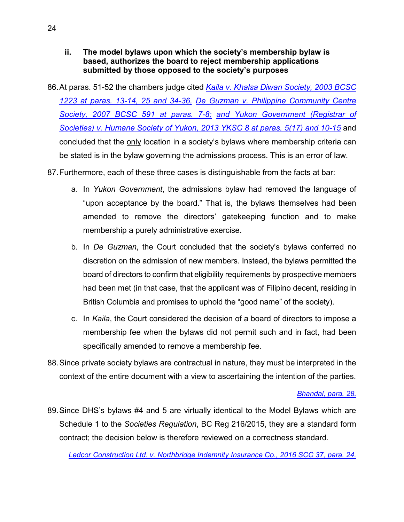- <span id="page-29-0"></span>**ii. The model bylaws upon which the society's membership bylaw is based, authorizes the board to reject membership applications submitted by those opposed to the society's purposes**
- 86.At paras. 51-52 the chambers judge cited *[Kaila v. Khalsa Diwan Society, 2003 BCSC](https://www.canlii.org/en/bc/bcsc/doc/2003/2003bcsc1223/2003bcsc1223.html?autocompleteStr=2003%20BCSC%201223%20&autocompletePos=1)  [1223 at paras. 13-14, 25 and 34-36,](https://www.canlii.org/en/bc/bcsc/doc/2003/2003bcsc1223/2003bcsc1223.html?autocompleteStr=2003%20BCSC%201223%20&autocompletePos=1) [De Guzman v. Philippine Community Centre](https://www.canlii.org/en/bc/bcsc/doc/2007/2007bcsc591/2007bcsc591.html?autocompleteStr=2007%20BCSC%20591%20&autocompletePos=1)  [Society, 2007 BCSC 591 at paras. 7-8;](https://www.canlii.org/en/bc/bcsc/doc/2007/2007bcsc591/2007bcsc591.html?autocompleteStr=2007%20BCSC%20591%20&autocompletePos=1) [and Yukon Government \(Registrar of](https://www.canlii.org/en/yk/yksc/doc/2013/2013yksc8/2013yksc8.html?autocompleteStr=2013%20YKSC%208%20&autocompletePos=1)  [Societies\) v. Humane Society of Yukon, 2013 YKSC 8 at paras. 5\(17\) and 10-15](https://www.canlii.org/en/yk/yksc/doc/2013/2013yksc8/2013yksc8.html?autocompleteStr=2013%20YKSC%208%20&autocompletePos=1)* and concluded that the only location in a society's bylaws where membership criteria can be stated is in the bylaw governing the admissions process. This is an error of law.
- 87.Furthermore, each of these three cases is distinguishable from the facts at bar:
	- a. In *Yukon Government*, the admissions bylaw had removed the language of "upon acceptance by the board." That is, the bylaws themselves had been amended to remove the directors' gatekeeping function and to make membership a purely administrative exercise.
	- b. In *De Guzman*, the Court concluded that the society's bylaws conferred no discretion on the admission of new members. Instead, the bylaws permitted the board of directors to confirm that eligibility requirements by prospective members had been met (in that case, that the applicant was of Filipino decent, residing in British Columbia and promises to uphold the "good name" of the society).
	- c. In *Kaila*, the Court considered the decision of a board of directors to impose a membership fee when the bylaws did not permit such and in fact, had been specifically amended to remove a membership fee.
- 88.Since private society bylaws are contractual in nature, they must be interpreted in the context of the entire document with a view to ascertaining the intention of the parties.

### *[Bhandal, para. 28.](https://www.canlii.org/en/bc/bcca/doc/2014/2014bcca291/2014bcca291.html?autocompleteStr=2014%20bcca%20291&autocompletePos=1)*

89.Since DHS's bylaws #4 and 5 are virtually identical to the Model Bylaws which are Schedule 1 to the *Societies Regulation*, BC Reg 216/2015, they are a standard form contract; the decision below is therefore reviewed on a correctness standard.

*[Ledcor Construction Ltd. v. Northbridge Indemnity Insurance Co., 2016 SCC 37, para. 24.](https://www.canlii.org/en/ca/scc/doc/2016/2016scc37/2016scc37.html?autocompleteStr=2016%20SCC%2037%20&autocompletePos=1)*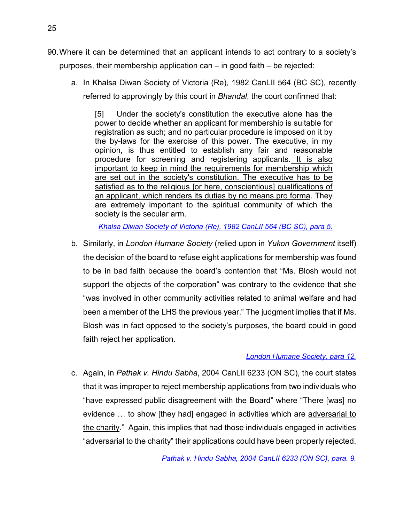- 90.Where it can be determined that an applicant intends to act contrary to a society's purposes, their membership application can – in good faith – be rejected:
	- a. In Khalsa Diwan Society of Victoria (Re), 1982 CanLII 564 (BC SC), recently referred to approvingly by this court in *Bhandal*, the court confirmed that:

[5] Under the society's constitution the executive alone has the power to decide whether an applicant for membership is suitable for registration as such; and no particular procedure is imposed on it by the by-laws for the exercise of this power. The executive, in my opinion, is thus entitled to establish any fair and reasonable procedure for screening and registering applicants. It is also important to keep in mind the requirements for membership which are set out in the society's constitution. The executive has to be satisfied as to the religious [or here, conscientious] qualifications of an applicant, which renders its duties by no means pro forma. They are extremely important to the spiritual community of which the society is the secular arm.

*[Khalsa Diwan Society of Victoria \(Re\), 1982 CanLII 564 \(BC SC\), para 5.](https://www.canlii.org/en/bc/bcsc/doc/1982/1982canlii564/1982canlii564.html?autocompleteStr=Khalsa%20Diwan%20Society%20of%20Victoria%20(Re)%2C%201982%20CanLII%20564%20&autocompletePos=1)*

b. Similarly, in *London Humane Society* (relied upon in *Yukon Government* itself) the decision of the board to refuse eight applications for membership was found to be in bad faith because the board's contention that "Ms. Blosh would not support the objects of the corporation" was contrary to the evidence that she "was involved in other community activities related to animal welfare and had been a member of the LHS the previous year." The judgment implies that if Ms. Blosh was in fact opposed to the society's purposes, the board could in good faith reject her application.

### *[London Humane Society, para 12.](https://www.canlii.org/en/on/onsc/doc/2010/2010onsc5775/2010onsc5775.html?autocompleteStr=2010%20ONSC%205775%20&autocompletePos=1)*

c. Again, in *Pathak v. Hindu Sabha*, 2004 CanLII 6233 (ON SC), the court states that it was improper to reject membership applications from two individuals who "have expressed public disagreement with the Board" where "There [was] no evidence … to show [they had] engaged in activities which are adversarial to the charity." Again, this implies that had those individuals engaged in activities "adversarial to the charity" their applications could have been properly rejected.

*[Pathak v. Hindu Sabha, 2004 CanLII 6233 \(ON SC\), para. 9.](https://www.canlii.org/en/on/onsc/doc/2004/2004canlii6233/2004canlii6233.html?autocompleteStr=Pathak%20v.%20Hindu%20Sabha%2C%202004%20CanLII%206233%20(ON%20SC&autocompletePos=1)*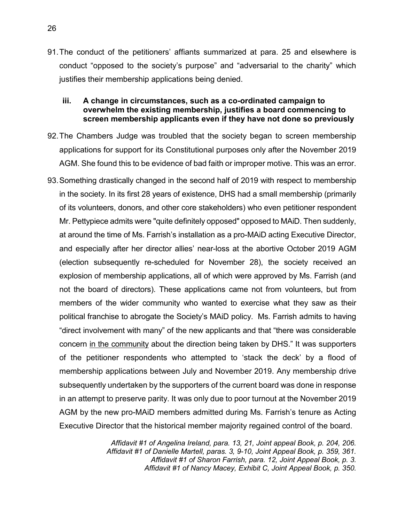91.The conduct of the petitioners' affiants summarized at para. [25](#page-12-0) and elsewhere is conduct "opposed to the society's purpose" and "adversarial to the charity" which justifies their membership applications being denied.

### <span id="page-31-0"></span>**iii. A change in circumstances, such as a co-ordinated campaign to overwhelm the existing membership, justifies a board commencing to screen membership applicants even if they have not done so previously**

- 92.The Chambers Judge was troubled that the society began to screen membership applications for support for its Constitutional purposes only after the November 2019 AGM. She found this to be evidence of bad faith or improper motive. This was an error.
- 93.Something drastically changed in the second half of 2019 with respect to membership in the society. In its first 28 years of existence, DHS had a small membership (primarily of its volunteers, donors, and other core stakeholders) who even petitioner respondent Mr. Pettypiece admits were "quite definitely opposed" opposed to MAiD. Then suddenly, at around the time of Ms. Farrish's installation as a pro-MAiD acting Executive Director, and especially after her director allies' near-loss at the abortive October 2019 AGM (election subsequently re-scheduled for November 28), the society received an explosion of membership applications, all of which were approved by Ms. Farrish (and not the board of directors). These applications came not from volunteers, but from members of the wider community who wanted to exercise what they saw as their political franchise to abrogate the Society's MAiD policy. Ms. Farrish admits to having "direct involvement with many" of the new applicants and that "there was considerable concern in the community about the direction being taken by DHS." It was supporters of the petitioner respondents who attempted to 'stack the deck' by a flood of membership applications between July and November 2019. Any membership drive subsequently undertaken by the supporters of the current board was done in response in an attempt to preserve parity. It was only due to poor turnout at the November 2019 AGM by the new pro-MAiD members admitted during Ms. Farrish's tenure as Acting Executive Director that the historical member majority regained control of the board.

*Affidavit #1 of Angelina Ireland, para. 13, 21, Joint appeal Book, p. 204, 206. Affidavit #1 of Danielle Martell, paras. 3, 9-10, Joint Appeal Book, p. 359, 361. Affidavit #1 of Sharon Farrish, para. 12, Joint Appeal Book, p. 3. Affidavit #1 of Nancy Macey, Exhibit C, Joint Appeal Book, p. 350.*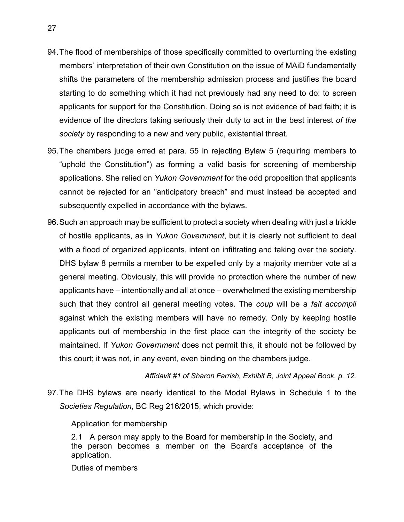- 94.The flood of memberships of those specifically committed to overturning the existing members' interpretation of their own Constitution on the issue of MAiD fundamentally shifts the parameters of the membership admission process and justifies the board starting to do something which it had not previously had any need to do: to screen applicants for support for the Constitution. Doing so is not evidence of bad faith; it is evidence of the directors taking seriously their duty to act in the best interest *of the society* by responding to a new and very public, existential threat.
- 95.The chambers judge erred at para. 55 in rejecting Bylaw 5 (requiring members to "uphold the Constitution") as forming a valid basis for screening of membership applications. She relied on *Yukon Government* for the odd proposition that applicants cannot be rejected for an "anticipatory breach" and must instead be accepted and subsequently expelled in accordance with the bylaws.
- 96.Such an approach may be sufficient to protect a society when dealing with just a trickle of hostile applicants, as in *Yukon Government*, but it is clearly not sufficient to deal with a flood of organized applicants, intent on infiltrating and taking over the society. DHS bylaw 8 permits a member to be expelled only by a majority member vote at a general meeting. Obviously, this will provide no protection where the number of new applicants have – intentionally and all at once – overwhelmed the existing membership such that they control all general meeting votes. The *coup* will be a *fait accompli* against which the existing members will have no remedy. Only by keeping hostile applicants out of membership in the first place can the integrity of the society be maintained. If *Yukon Government* does not permit this, it should not be followed by this court; it was not, in any event, even binding on the chambers judge.

*Affidavit #1 of Sharon Farrish, Exhibit B, Joint Appeal Book, p. 12.*

97.The DHS bylaws are nearly identical to the Model Bylaws in Schedule 1 to the *Societies Regulation*, BC Reg 216/2015, which provide:

Application for membership

2.1 A person may apply to the Board for membership in the Society, and the person becomes a member on the Board's acceptance of the application.

Duties of members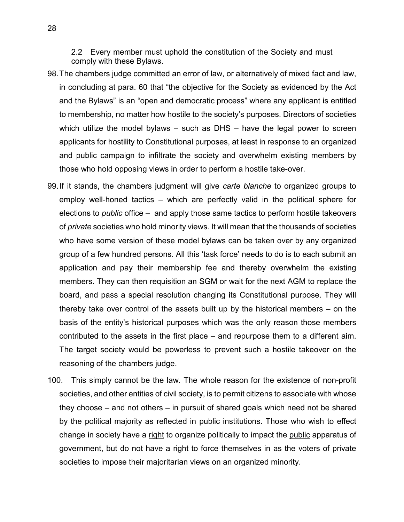2.2 Every member must uphold the constitution of the Society and must comply with these Bylaws.

- 98.The chambers judge committed an error of law, or alternatively of mixed fact and law, in concluding at para. 60 that "the objective for the Society as evidenced by the Act and the Bylaws" is an "open and democratic process" where any applicant is entitled to membership, no matter how hostile to the society's purposes. Directors of societies which utilize the model bylaws – such as DHS – have the legal power to screen applicants for hostility to Constitutional purposes, at least in response to an organized and public campaign to infiltrate the society and overwhelm existing members by those who hold opposing views in order to perform a hostile take-over.
- 99.If it stands, the chambers judgment will give *carte blanche* to organized groups to employ well-honed tactics – which are perfectly valid in the political sphere for elections to *public* office – and apply those same tactics to perform hostile takeovers of *private* societies who hold minority views. It will mean that the thousands of societies who have some version of these model bylaws can be taken over by any organized group of a few hundred persons. All this 'task force' needs to do is to each submit an application and pay their membership fee and thereby overwhelm the existing members. They can then requisition an SGM or wait for the next AGM to replace the board, and pass a special resolution changing its Constitutional purpose. They will thereby take over control of the assets built up by the historical members – on the basis of the entity's historical purposes which was the only reason those members contributed to the assets in the first place – and repurpose them to a different aim. The target society would be powerless to prevent such a hostile takeover on the reasoning of the chambers judge.
- 100. This simply cannot be the law. The whole reason for the existence of non-profit societies, and other entities of civil society, is to permit citizens to associate with whose they choose – and not others – in pursuit of shared goals which need not be shared by the political majority as reflected in public institutions. Those who wish to effect change in society have a right to organize politically to impact the public apparatus of government, but do not have a right to force themselves in as the voters of private societies to impose their majoritarian views on an organized minority.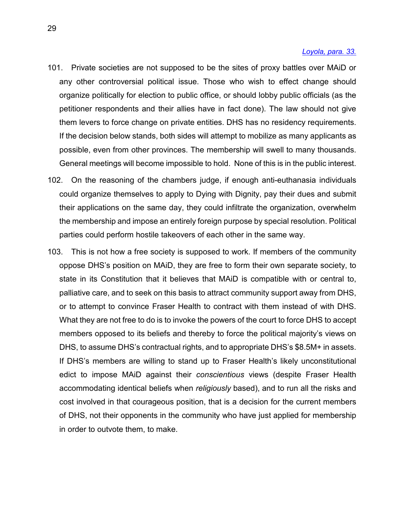#### *[Loyola, para. 33.](https://scc-csc.lexum.com/scc-csc/scc-csc/en/item/14703/index.do)*

- 101. Private societies are not supposed to be the sites of proxy battles over MAiD or any other controversial political issue. Those who wish to effect change should organize politically for election to public office, or should lobby public officials (as the petitioner respondents and their allies have in fact done). The law should not give them levers to force change on private entities. DHS has no residency requirements. If the decision below stands, both sides will attempt to mobilize as many applicants as possible, even from other provinces. The membership will swell to many thousands. General meetings will become impossible to hold. None of this is in the public interest.
- 102. On the reasoning of the chambers judge, if enough anti-euthanasia individuals could organize themselves to apply to Dying with Dignity, pay their dues and submit their applications on the same day, they could infiltrate the organization, overwhelm the membership and impose an entirely foreign purpose by special resolution. Political parties could perform hostile takeovers of each other in the same way.
- 103. This is not how a free society is supposed to work. If members of the community oppose DHS's position on MAiD, they are free to form their own separate society, to state in its Constitution that it believes that MAiD is compatible with or central to, palliative care, and to seek on this basis to attract community support away from DHS, or to attempt to convince Fraser Health to contract with them instead of with DHS. What they are not free to do is to invoke the powers of the court to force DHS to accept members opposed to its beliefs and thereby to force the political majority's views on DHS, to assume DHS's contractual rights, and to appropriate DHS's \$8.5M+ in assets. If DHS's members are willing to stand up to Fraser Health's likely unconstitutional edict to impose MAiD against their *conscientious* views (despite Fraser Health accommodating identical beliefs when *religiously* based), and to run all the risks and cost involved in that courageous position, that is a decision for the current members of DHS, not their opponents in the community who have just applied for membership in order to outvote them, to make.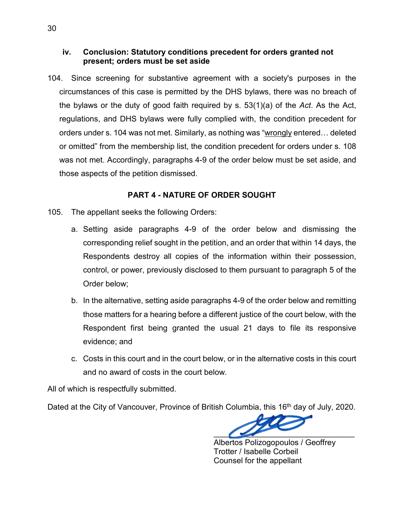### <span id="page-35-0"></span>**iv. Conclusion: Statutory conditions precedent for orders granted not present; orders must be set aside**

104. Since screening for substantive agreement with a society's purposes in the circumstances of this case is permitted by the DHS bylaws, there was no breach of the bylaws or the duty of good faith required by s. 53(1)(a) of the *Act*. As the Act, regulations, and DHS bylaws were fully complied with, the condition precedent for orders under s. 104 was not met. Similarly, as nothing was "wrongly entered... deleted or omitted" from the membership list, the condition precedent for orders under s. 108 was not met. Accordingly, paragraphs 4-9 of the order below must be set aside, and those aspects of the petition dismissed.

### **PART 4 - NATURE OF ORDER SOUGHT**

- <span id="page-35-1"></span>105. The appellant seeks the following Orders:
	- a. Setting aside paragraphs 4-9 of the order below and dismissing the corresponding relief sought in the petition, and an order that within 14 days, the Respondents destroy all copies of the information within their possession, control, or power, previously disclosed to them pursuant to paragraph 5 of the Order below;
	- b. In the alternative, setting aside paragraphs 4-9 of the order below and remitting those matters for a hearing before a different justice of the court below, with the Respondent first being granted the usual 21 days to file its responsive evidence; and
	- c. Costs in this court and in the court below, or in the alternative costs in this court and no award of costs in the court below.

All of which is respectfully submitted.

Dated at the City of Vancouver, Province of British Columbia, this 16<sup>th</sup> day of July, 2020.

 $\overline{\phantom{a}}$ 

Albertos Polizogopoulos / Geoffrey Trotter / Isabelle Corbeil Counsel for the appellant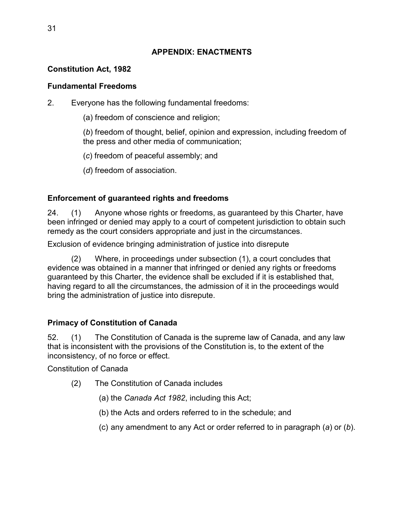## **APPENDIX: ENACTMENTS**

## <span id="page-36-0"></span>**Constitution Act, 1982**

## **Fundamental Freedoms**

2. Everyone has the following fundamental freedoms:

(a) freedom of conscience and religion;

(*b*) freedom of thought, belief, opinion and expression, including freedom of the press and other media of communication;

(*c*) freedom of peaceful assembly; and

(*d*) freedom of association.

## **Enforcement of guaranteed rights and freedoms**

24. (1) Anyone whose rights or freedoms, as guaranteed by this Charter, have been infringed or denied may apply to a court of competent jurisdiction to obtain such remedy as the court considers appropriate and just in the circumstances.

Exclusion of evidence bringing administration of justice into disrepute

(2) Where, in proceedings under subsection (1), a court concludes that evidence was obtained in a manner that infringed or denied any rights or freedoms guaranteed by this Charter, the evidence shall be excluded if it is established that, having regard to all the circumstances, the admission of it in the proceedings would bring the administration of justice into disrepute.

## **Primacy of Constitution of Canada**

52. (1) The Constitution of Canada is the supreme law of Canada, and any law that is inconsistent with the provisions of the Constitution is, to the extent of the inconsistency, of no force or effect.

Constitution of Canada

- (2) The Constitution of Canada includes
	- (a) the *Canada Act 1982*, including this Act;
	- (b) the Acts and orders referred to in the schedule; and
	- (c) any amendment to any Act or order referred to in paragraph (*a*) or (*b*).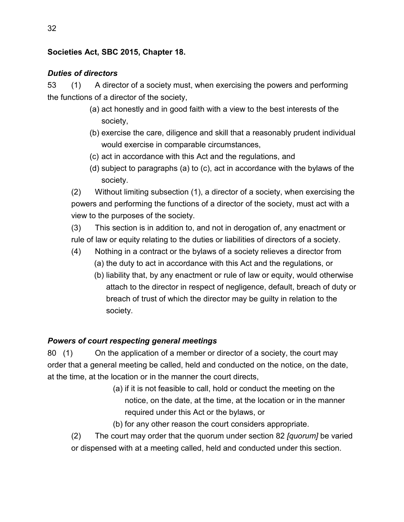## **Societies Act, SBC 2015, Chapter 18.**

## *Duties of directors*

53 (1) A director of a society must, when exercising the powers and performing the functions of a director of the society,

- (a) act honestly and in good faith with a view to the best interests of the society,
- (b) exercise the care, diligence and skill that a reasonably prudent individual would exercise in comparable circumstances,
- (c) act in accordance with this Act and the regulations, and
- (d) subject to paragraphs (a) to (c), act in accordance with the bylaws of the society.

(2) Without limiting subsection (1), a director of a society, when exercising the powers and performing the functions of a director of the society, must act with a view to the purposes of the society.

(3) This section is in addition to, and not in derogation of, any enactment or rule of law or equity relating to the duties or liabilities of directors of a society.

- (4) Nothing in a contract or the bylaws of a society relieves a director from
	- (a) the duty to act in accordance with this Act and the regulations, or
	- (b) liability that, by any enactment or rule of law or equity, would otherwise attach to the director in respect of negligence, default, breach of duty or breach of trust of which the director may be guilty in relation to the society.

## *Powers of court respecting general meetings*

80 (1) On the application of a member or director of a society, the court may order that a general meeting be called, held and conducted on the notice, on the date, at the time, at the location or in the manner the court directs,

- (a) if it is not feasible to call, hold or conduct the meeting on the notice, on the date, at the time, at the location or in the manner required under this Act or the bylaws, or
- (b) for any other reason the court considers appropriate.
- (2) The court may order that the quorum under section 82 *[quorum]* be varied or dispensed with at a meeting called, held and conducted under this section.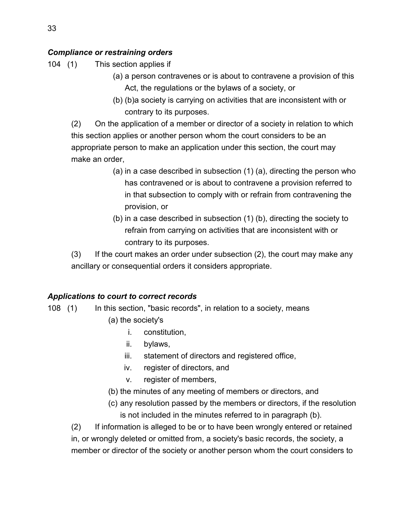## *Compliance or restraining orders*

104 (1) This section applies if

- (a) a person contravenes or is about to contravene a provision of this Act, the regulations or the bylaws of a society, or
- (b) (b)a society is carrying on activities that are inconsistent with or contrary to its purposes.

(2) On the application of a member or director of a society in relation to which this section applies or another person whom the court considers to be an appropriate person to make an application under this section, the court may make an order,

- (a) in a case described in subsection (1) (a), directing the person who has contravened or is about to contravene a provision referred to in that subsection to comply with or refrain from contravening the provision, or
- (b) in a case described in subsection (1) (b), directing the society to refrain from carrying on activities that are inconsistent with or contrary to its purposes.

(3) If the court makes an order under subsection (2), the court may make any ancillary or consequential orders it considers appropriate.

## *Applications to court to correct records*

- 108 (1) In this section, "basic records", in relation to a society, means
	- (a) the society's
		- i. constitution,
		- ii. bylaws,
		- iii. statement of directors and registered office,
		- iv. register of directors, and
		- v. register of members,
	- (b) the minutes of any meeting of members or directors, and
	- (c) any resolution passed by the members or directors, if the resolution is not included in the minutes referred to in paragraph (b).

(2) If information is alleged to be or to have been wrongly entered or retained in, or wrongly deleted or omitted from, a society's basic records, the society, a member or director of the society or another person whom the court considers to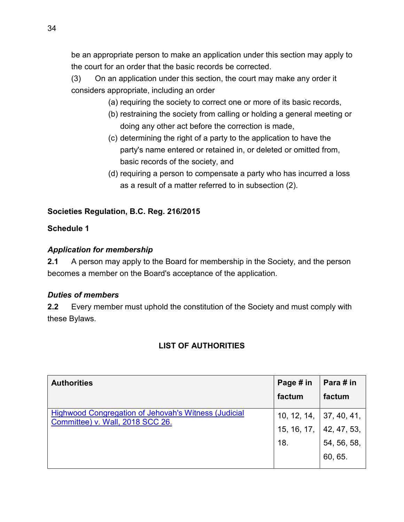be an appropriate person to make an application under this section may apply to the court for an order that the basic records be corrected.

(3) On an application under this section, the court may make any order it considers appropriate, including an order

- (a) requiring the society to correct one or more of its basic records,
- (b) restraining the society from calling or holding a general meeting or doing any other act before the correction is made,
- (c) determining the right of a party to the application to have the party's name entered or retained in, or deleted or omitted from, basic records of the society, and
- (d) requiring a person to compensate a party who has incurred a loss as a result of a matter referred to in subsection (2).

## **Societies Regulation, B.C. Reg. 216/2015**

## **Schedule 1**

### *Application for membership*

**2.1** A person may apply to the Board for membership in the Society, and the person becomes a member on the Board's acceptance of the application.

### *Duties of members*

<span id="page-39-0"></span>**2.2** Every member must uphold the constitution of the Society and must comply with these Bylaws.

## **LIST OF AUTHORITIES**

| <b>Authorities</b>                                                                              | Page # in                 | Para # in   |
|-------------------------------------------------------------------------------------------------|---------------------------|-------------|
|                                                                                                 | factum                    | factum      |
| <b>Highwood Congregation of Jehovah's Witness (Judicial</b><br>Committee) v. Wall, 2018 SCC 26. | 10, 12, 14,   37, 40, 41, |             |
|                                                                                                 | 15, 16, 17,               | 42, 47, 53, |
|                                                                                                 | 18.                       | 54, 56, 58, |
|                                                                                                 |                           | 60, 65.     |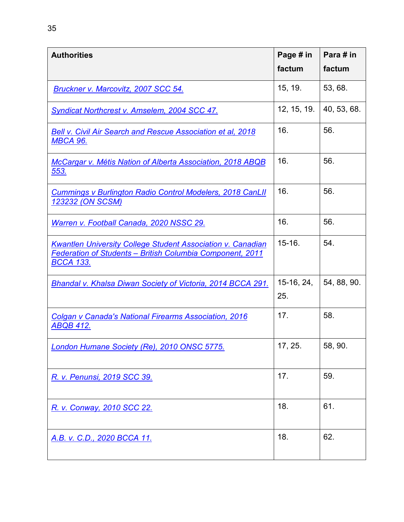| <b>Authorities</b>                                                                                                                                  | Page # in           | Para # in   |
|-----------------------------------------------------------------------------------------------------------------------------------------------------|---------------------|-------------|
|                                                                                                                                                     | factum              | factum      |
| <b>Bruckner v. Marcovitz, 2007 SCC 54.</b>                                                                                                          | 15, 19.             | 53, 68.     |
| <b>Syndicat Northcrest v. Amselem, 2004 SCC 47.</b>                                                                                                 | 12, 15, 19.         | 40, 53, 68. |
| <b>Bell v. Civil Air Search and Rescue Association et al, 2018</b><br><b>MBCA 96.</b>                                                               | 16.                 | 56.         |
| <b>McCargar v. Métis Nation of Alberta Association, 2018 ABQB</b><br><u>553.</u>                                                                    | 16.                 | 56.         |
| <b>Cummings v Burlington Radio Control Modelers, 2018 CanLII</b><br><u>123232 (ON SCSM)</u>                                                         | 16.                 | 56.         |
| Warren v. Football Canada, 2020 NSSC 29.                                                                                                            | 16.                 | 56.         |
| <b>Kwantlen University College Student Association v. Canadian</b><br>Federation of Students - British Columbia Component, 2011<br><u>BCCA 133.</u> | $15 - 16.$          | 54.         |
| Bhandal v. Khalsa Diwan Society of Victoria, 2014 BCCA 291.                                                                                         | $15-16, 24,$<br>25. | 54, 88, 90. |
| <b>Colgan v Canada's National Firearms Association, 2016</b><br><u>ABQB 412.</u>                                                                    | 17.                 | 58.         |
| London Humane Society (Re), 2010 ONSC 5775.                                                                                                         | 17, 25.             | 58, 90.     |
| R. v. Penunsi, 2019 SCC 39.                                                                                                                         | 17.                 | 59.         |
| R. v. Conway, 2010 SCC 22.                                                                                                                          | 18.                 | 61.         |
| A.B. v. C.D., 2020 BCCA 11.                                                                                                                         | 18.                 | 62.         |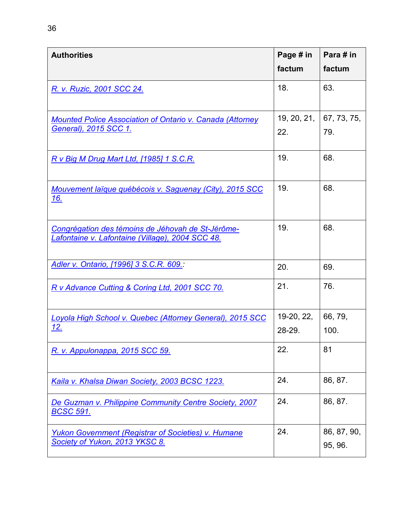| <b>Authorities</b>                                                                                    | Page # in<br>factum  | Para # in<br>factum    |
|-------------------------------------------------------------------------------------------------------|----------------------|------------------------|
| R. v. Ruzic, 2001 SCC 24.                                                                             | 18.                  | 63.                    |
| <b>Mounted Police Association of Ontario v. Canada (Attorney</b><br>General), 2015 SCC 1.             | 19, 20, 21,<br>22.   | 67, 73, 75,<br>79.     |
| R v Big M Drug Mart Ltd, [1985] 1 S.C.R.                                                              | 19.                  | 68.                    |
| Mouvement laïque québécois v. Saguenay (City), 2015 SCC<br><u> 16.</u>                                | 19.                  | 68.                    |
| Congrégation des témoins de Jéhovah de St-Jérôme-<br>Lafontaine v. Lafontaine (Village), 2004 SCC 48. | 19.                  | 68.                    |
| Adler v. Ontario, [1996] 3 S.C.R. 609.                                                                | 20.                  | 69.                    |
| R v Advance Cutting & Coring Ltd, 2001 SCC 70.                                                        | 21.                  | 76.                    |
| Loyola High School v. Quebec (Attorney General), 2015 SCC<br>12.                                      | 19-20, 22,<br>28-29. | 66, 79,<br>100.        |
| R. v. Appulonappa, 2015 SCC 59.                                                                       | 22.                  | 81                     |
| Kaila v. Khalsa Diwan Society, 2003 BCSC 1223.                                                        | 24.                  | 86, 87.                |
| De Guzman v. Philippine Community Centre Society, 2007<br><u>BCSC 591.</u>                            | 24.                  | 86, 87.                |
| <b>Yukon Government (Registrar of Societies) v. Humane</b><br>Society of Yukon, 2013 YKSC 8.          | 24.                  | 86, 87, 90,<br>95, 96. |